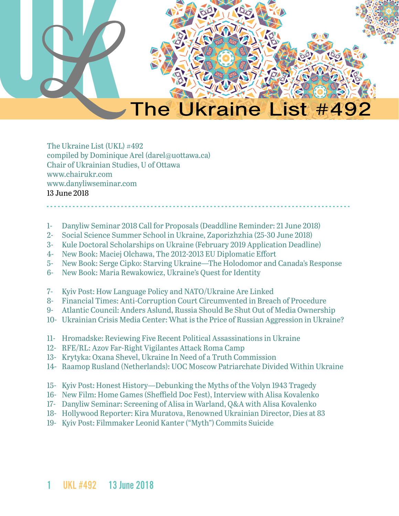

The Ukraine List (UKL) #492 compiled by Dominique Arel (darel@uottawa.ca) Chair of Ukrainian Studies, U of Ottawa [www.chairukr.com](http://www.chairukr.com) [www.danyliwseminar.com](http://www.danyliwseminar.com) 13 June 2018

- 1- [Danyliw Seminar 2018 Call for Proposals \(Deaddline Reminder: 21 June 2018\)](#page-1-0)
- 2- [Social Science Summer School in Ukraine, Zaporizhzhia \(25-30 June 2018\)](#page-3-0)
- 3- [Kule Doctoral Scholarships on Ukraine \(February 2019 Application Deadline\)](#page-5-0)
- 4- [New Book: Maciej Olchawa, The 2012-2013 EU Diplomatic Effort](#page-6-0)
- 5- [New Book: Serge Cipko: Starving Ukraine—The Holodomor and Canada's Response](#page-6-1)

<span id="page-0-0"></span>- - - - - - - - - - - - - - - - - - - - - - - - - - - - - - - - - - - - - - - - - - - - - - - - - - - - - - - - - - - - - - - - - - - - - - - - - - - - - - - - - -

- 6- [New Book: Maria Rewakowicz, Ukraine's Quest for Identity](#page-7-0)
- 7- [Kyiv Post: How Language Policy and NATO/Ukraine Are Linked](#page-7-1)
- 8- [Financial Times: Anti-Corruption Court Circumvented in Breach of Procedure](#page-7-1)
- 9- [Atlantic Council: Anders Aslund, Russia Should Be Shut Out of Media Ownership](#page-9-0)
- 10- [Ukrainian Crisis Media Center: What is the Price of Russian Aggression in Ukraine?](#page-11-0)
- 11- [Hromadske: Reviewing Five Recent Political Assassinations in Ukraine](#page-14-0)
- 12- [RFE/RL: Azov Far-Right Vigilantes Attack Roma Camp](#page-17-0)
- 13- [Krytyka: Oxana Shevel, Ukraine In Need of a Truth Commission](#page-19-0)
- 14- Raamop Rusland (Netherlands): UOC Moscow Patriarchate Divided Within Ukraine
- 15- [Kyiv Post: Honest History—Debunking the Myths of the Volyn 1943 Tragedy](#page-30-0)
- 16- [New Film: Home Games \(Sheffield Doc Fest\), Interview with Alisa Kovalenko](#page-36-0)
- 17- [Danyliw Seminar: Screening of Alisa in Warland, Q&A with Alisa Kovalenko](#page-39-0)
- 18- [Hollywood Reporter: Kira Muratova, Renowned Ukrainian Director, Dies at 83](#page-43-0)
- 19- [Kyiv Post: Filmmaker Leonid Kanter \("Myth"\) Commits Suicide](#page-44-0)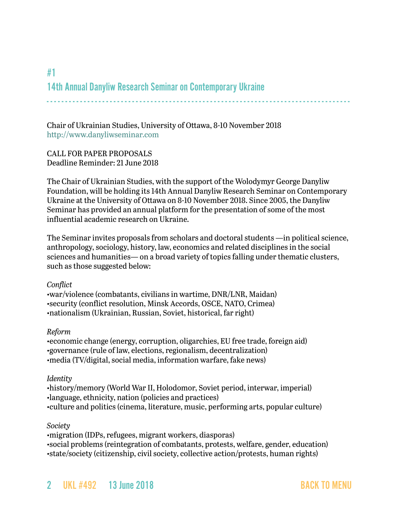# <span id="page-1-0"></span>#1 14th Annual Danyliw Research Seminar on Contemporary Ukraine - - - - - - - - - - - - - - - - - - - - - - - - - - - - - - - - - - - - - - - - - - - - - - - - - - - - - - - - - - - - - - - - - - - - - - - - - - - - - - - - - -

Chair of Ukrainian Studies, University of Ottawa, 8-10 November 2018 <http://www.danyliwseminar.com>

CALL FOR PAPER PROPOSALS Deadline Reminder: 21 June 2018

The Chair of Ukrainian Studies, with the support of the Wolodymyr George Danyliw Foundation, will be holding its 14th Annual Danyliw Research Seminar on Contemporary Ukraine at the University of Ottawa on 8-10 November 2018. Since 2005, the Danyliw Seminar has provided an annual platform for the presentation of some of the most influential academic research on Ukraine.

The Seminar invites proposals from scholars and doctoral students —in political science, anthropology, sociology, history, law, economics and related disciplines in the social sciences and humanities— on a broad variety of topics falling under thematic clusters, such as those suggested below:

#### *Conflict*

•war/violence (combatants, civilians in wartime, DNR/LNR, Maidan) •security (conflict resolution, Minsk Accords, OSCE, NATO, Crimea) •nationalism (Ukrainian, Russian, Soviet, historical, far right)

#### *Reform*

•economic change (energy, corruption, oligarchies, EU free trade, foreign aid) •governance (rule of law, elections, regionalism, decentralization) •media (TV/digital, social media, information warfare, fake news)

#### *Identity*

•history/memory (World War II, Holodomor, Soviet period, interwar, imperial) •language, ethnicity, nation (policies and practices) •culture and politics (cinema, literature, music, performing arts, popular culture)

#### *Society*

•migration (IDPs, refugees, migrant workers, diasporas) •social problems (reintegration of combatants, protests, welfare, gender, education) •state/society (citizenship, civil society, collective action/protests, human rights)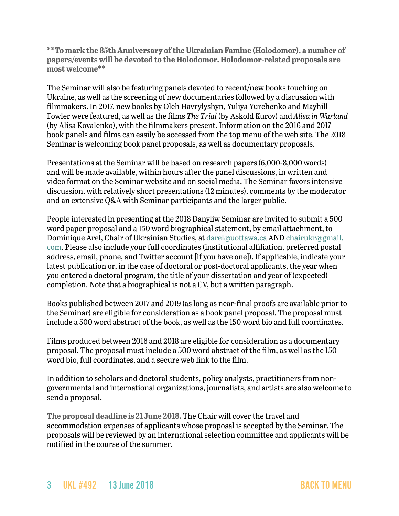**\*\*To mark the 85th Anniversary of the Ukrainian Famine (Holodomor), a number of papers/events will be devoted to the Holodomor. Holodomor-related proposals are most welcome\*\***

The Seminar will also be featuring panels devoted to recent/new books touching on Ukraine, as well as the screening of new documentaries followed by a discussion with filmmakers. In 2017, new books by Oleh Havrylyshyn, Yuliya Yurchenko and Mayhill Fowler were featured, as well as the films *The Trial* (by Askold Kurov) and *Alisa in Warland* (by Alisa Kovalenko), with the filmmakers present. Information on the 2016 and 2017 book panels and films can easily be accessed from the top menu of the web site. The 2018 Seminar is welcoming book panel proposals, as well as documentary proposals.

Presentations at the Seminar will be based on research papers (6,000-8,000 words) and will be made available, within hours after the panel discussions, in written and video format on the Seminar website and on social media. The Seminar favors intensive discussion, with relatively short presentations (12 minutes), comments by the moderator and an extensive Q&A with Seminar participants and the larger public.

People interested in presenting at the 2018 Danyliw Seminar are invited to submit a 500 word paper proposal and a 150 word biographical statement, by email attachment, to Dominique Arel, Chair of Ukrainian Studies, at [darel@uottawa.ca](mailto:darel@uottawa.ca) AND [chairukr@gmail.](mailto:chairukr@gmail.com) [com](mailto:chairukr@gmail.com). Please also include your full coordinates (institutional affiliation, preferred postal address, email, phone, and Twitter account [if you have one]). If applicable, indicate your latest publication or, in the case of doctoral or post-doctoral applicants, the year when you entered a doctoral program, the title of your dissertation and year of (expected) completion. Note that a biographical is not a CV, but a written paragraph.

Books published between 2017 and 2019 (as long as near-final proofs are available prior to the Seminar) are eligible for consideration as a book panel proposal. The proposal must include a 500 word abstract of the book, as well as the 150 word bio and full coordinates.

Films produced between 2016 and 2018 are eligible for consideration as a documentary proposal. The proposal must include a 500 word abstract of the film, as well as the 150 word bio, full coordinates, and a secure web link to the film.

In addition to scholars and doctoral students, policy analysts, practitioners from nongovernmental and international organizations, journalists, and artists are also welcome to send a proposal.

**The proposal deadline is 21 June 2018.** The Chair will cover the travel and accommodation expenses of applicants whose proposal is accepted by the Seminar. The proposals will be reviewed by an international selection committee and applicants will be notified in the course of the summer.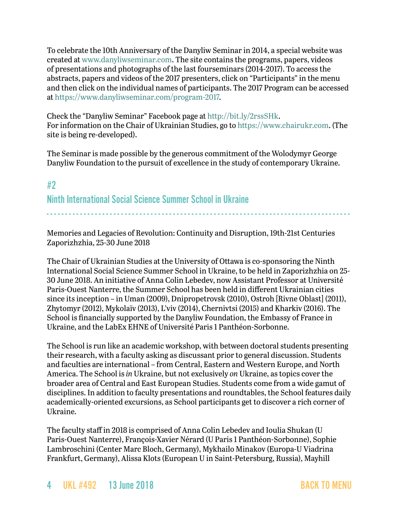To celebrate the 10th Anniversary of the Danyliw Seminar in 2014, a special website was created at [www.danyliwseminar.com.](http://www.danyliwseminar.com) The site contains the programs, papers, videos of presentations and photographs of the last fourseminars (2014-2017). To access the abstracts, papers and videos of the 2017 presenters, click on "Participants" in the menu and then click on the individual names of participants. The 2017 Program can be accessed at<https://www.danyliwseminar.com/program-2017>.

Check the "Danyliw Seminar" Facebook page at<http://bit.ly/2rssSHk>. For information on the Chair of Ukrainian Studies, go to <https://www.chairukr.com>. (The site is being re-developed).

The Seminar is made possible by the generous commitment of the Wolodymyr George Danyliw Foundation to the pursuit of excellence in the study of contemporary Ukraine.

# <span id="page-3-0"></span>#2 Ninth International Social Science Summer School in Ukraine - - - - - - - - - - - - - - - - - - - - - - - - - - - - - - - - - - - - - - - - - - - - - - - - - - - - - - - - - - - - - - - - - - - - - - - - - - - - - - - - - -

Memories and Legacies of Revolution: Continuity and Disruption, 19th-21st Centuries Zaporizhzhia, 25-30 June 2018

The Chair of Ukrainian Studies at the University of Ottawa is co-sponsoring the Ninth International Social Science Summer School in Ukraine, to be held in Zaporizhzhia on 25- 30 June 2018. An initiative of Anna Colin Lebedev, now Assistant Professor at Université Paris-Ouest Nanterre, the Summer School has been held in different Ukrainian cities since its inception – in Uman (2009), Dnipropetrovsk (2010), Ostroh [Rivne Oblast] (2011), Zhytomyr (2012), Mykolaïv (2013), L'viv (2014), Chernivtsi (2015) and Kharkiv (2016). The School is financially supported by the Danyliw Foundation, the Embassy of France in Ukraine, and the LabEx EHNE of Université Paris 1 Panthéon-Sorbonne.

The School is run like an academic workshop, with between doctoral students presenting their research, with a faculty asking as discussant prior to general discussion. Students and faculties are international – from Central, Eastern and Western Europe, and North America. The School is *in* Ukraine, but not exclusively *on* Ukraine, as topics cover the broader area of Central and East European Studies. Students come from a wide gamut of disciplines. In addition to faculty presentations and roundtables, the School features daily academically-oriented excursions, as School participants get to discover a rich corner of Ukraine.

The faculty staff in 2018 is comprised of Anna Colin Lebedev and Ioulia Shukan (U Paris-Ouest Nanterre), François-Xavier Nérard (U Paris 1 Panthéon-Sorbonne), Sophie Lambroschini (Center Marc Bloch, Germany), Mykhailo Minakov (Europa-U Viadrina Frankfurt, Germany), Alissa Klots (European U in Saint-Petersburg, Russia), Mayhill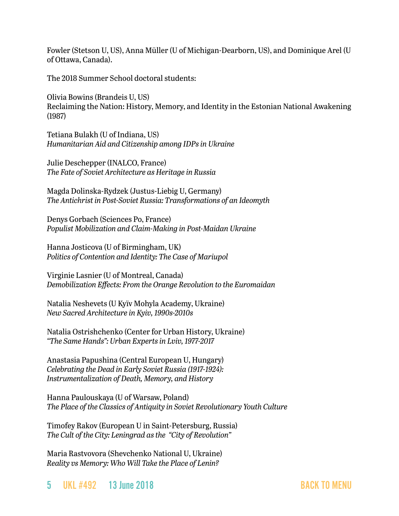Fowler (Stetson U, US), Anna Müller (U of Michigan-Dearborn, US), and Dominique Arel (U of Ottawa, Canada).

The 2018 Summer School doctoral students:

Olivia Bowins (Brandeis U, US) Reclaiming the Nation: History, Memory, and Identity in the Estonian National Awakening (1987)

Tetiana Bulakh (U of Indiana, US) *Humanitarian Aid and Citizenship among IDPs in Ukraine*

Julie Deschepper (INALCO, France) *The Fate of Soviet Architecture as Heritage in Russia*

Magda Dolinska-Rydzek (Justus-Liebig U, Germany) *The Antichrist in Post-Soviet Russia: Transformations of an Ideomyth*

Denys Gorbach (Sciences Po, France) *Populist Mobilization and Claim-Making in Post-Maidan Ukraine*

Hanna Josticova (U of Birmingham, UK) *Politics of Contention and Identity: The Case of Mariupol*

Virginie Lasnier (U of Montreal, Canada) *Demobilization Effects: From the Orange Revolution to the Euromaidan*

Natalia Neshevets (U Kyïv Mohyla Academy, Ukraine) *New Sacred Architecture in Kyiv, 1990s-2010s*

Natalia Ostrishchenko (Center for Urban History, Ukraine) *"The Same Hands": Urban Experts in Lviv, 1977-2017*

Anastasia Papushina (Central European U, Hungary) *Celebrating the Dead in Early Soviet Russia (1917-1924): Instrumentalization of Death, Memory, and History*

Hanna Paulouskaya (U of Warsaw, Poland) *The Place of the Classics of Antiquity in Soviet Revolutionary Youth Culture*

Timofey Rakov (European U in Saint-Petersburg, Russia) *The Cult of the City: Leningrad as the "City of Revolution"*

Maria Rastvovora (Shevchenko National U, Ukraine) *Reality vs Memory: Who Will Take the Place of Lenin?*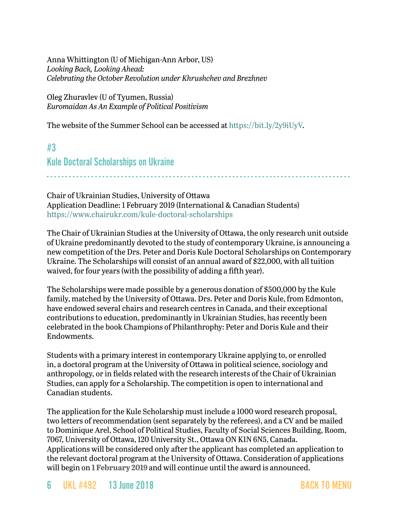Anna Whittington (U of Michigan-Ann Arbor, US) *Looking Back, Looking Ahead: Celebrating the October Revolution under Khrushchev and Brezhnev*

Oleg Zhuravlev (U of Tyumen, Russia) *Euromaidan As An Example of Political Positivism*

The website of the Summer School can be accessed at [https://bit.ly/2y9iUyV.](https://bit.ly/2y9iUyV)

# <span id="page-5-0"></span>#3 Kule Doctoral Scholarships on Ukraine

- - - - - - - - - - - - - - - - - - - - - - - - - - - - - - - - - - - - - - - - - - - - - - - - - - - - - - - - - - - - - - - - - - - - - - - - - - - - - - - - - -

Chair of Ukrainian Studies, University of Ottawa Application Deadline: 1 February 2019 (International & Canadian Students) <https://www.chairukr.com/kule-doctoral-scholarships>

The Chair of Ukrainian Studies at the University of Ottawa, the only research unit outside of Ukraine predominantly devoted to the study of contemporary Ukraine, is announcing a new competition of the Drs. Peter and Doris Kule Doctoral Scholarships on Contemporary Ukraine. The Scholarships will consist of an annual award of \$22,000, with all tuition waived, for four years (with the possibility of adding a fifth year).

The Scholarships were made possible by a generous donation of \$500,000 by the Kule family, matched by the University of Ottawa. Drs. Peter and Doris Kule, from Edmonton, have endowed several chairs and research centres in Canada, and their exceptional contributions to education, predominantly in Ukrainian Studies, has recently been celebrated in the book Champions of Philanthrophy: Peter and Doris Kule and their Endowments.

Students with a primary interest in contemporary Ukraine applying to, or enrolled in, a doctoral program at the University of Ottawa in political science, sociology and anthropology, or in fields related with the research interests of the Chair of Ukrainian Studies, can apply for a Scholarship. The competition is open to international and Canadian students.

The application for the Kule Scholarship must include a 1000 word research proposal, two letters of recommendation (sent separately by the referees), and a CV and be mailed to Dominique Arel, School of Political Studies, Faculty of Social Sciences Building, Room, 7067, University of Ottawa, 120 University St., Ottawa ON K1N 6N5, Canada. Applications will be considered only after the applicant has completed an application to the relevant doctoral program at the University of Ottawa. Consideration of applications will begin on **1 February 2019** and will continue until the award is announced.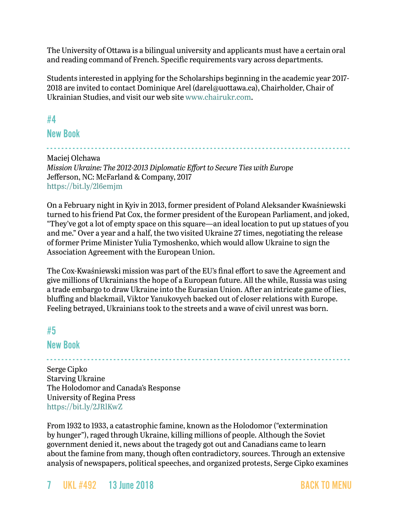The University of Ottawa is a bilingual university and applicants must have a certain oral and reading command of French. Specific requirements vary across departments.

Students interested in applying for the Scholarships beginning in the academic year 2017- 2018 are invited to contact Dominique Arel [\(darel@uottawa.ca](mailto:darel@uottawa.ca)), Chairholder, Chair of Ukrainian Studies, and visit our web site [www.chairukr.com](http://www.chairukr.com).

## <span id="page-6-0"></span>#4

### New Book

- - - - - - - - - - - - - - - - - - - - - - - - - - - - - - - - - - - - - - - - - - - - - - - - - - - - - - - - - - - - - - - - - - - - - - - - - - - - - - - - - - Maciej Olchawa *Mission Ukraine: The 2012-2013 Diplomatic Effort to Secure Ties with Europe* Jefferson, NC: McFarland & Company, 2017 <https://bit.ly/2l6emjm>

On a February night in Kyiv in 2013, former president of Poland Aleksander Kwaśniewski turned to his friend Pat Cox, the former president of the European Parliament, and joked, "They've got a lot of empty space on this square—an ideal location to put up statues of you and me." Over a year and a half, the two visited Ukraine 27 times, negotiating the release of former Prime Minister Yulia Tymoshenko, which would allow Ukraine to sign the Association Agreement with the European Union.

The Cox-Kwaśniewski mission was part of the EU's final effort to save the Agreement and give millions of Ukrainians the hope of a European future. All the while, Russia was using a trade embargo to draw Ukraine into the Eurasian Union. After an intricate game of lies, bluffing and blackmail, Viktor Yanukovych backed out of closer relations with Europe. Feeling betrayed, Ukrainians took to the streets and a wave of civil unrest was born.

- - - - - - - - - - - - - - - - - - - - - - - - - - - - - - - - - - - - - - - - - - - - - - - - - - - - - - - - - - - - - - - - - - - - - - - - - - - - - - - - - -

## <span id="page-6-1"></span>#5

#### New Book

Serge Cipko Starving Ukraine The Holodomor and Canada's Response University of Regina Press <https://bit.ly/2JRlKwZ>

From 1932 to 1933, a catastrophic famine, known as the Holodomor ("extermination by hunger"), raged through Ukraine, killing millions of people. Although the Soviet government denied it, news about the tragedy got out and Canadians came to learn about the famine from many, though often contradictory, sources. Through an extensive analysis of newspapers, political speeches, and organized protests, Serge Cipko examines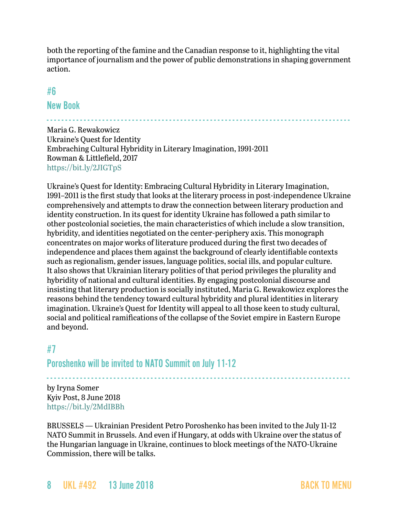both the reporting of the famine and the Canadian response to it, highlighting the vital importance of journalism and the power of public demonstrations in shaping government action.

#### <span id="page-7-0"></span>#6

New Book

- - - - - - - - - - - - - - - - - - - - - - - - - - - - - - - - - - - - - - - - - - - - - - - - - - - - - - - - - - - - - - - - - - - - - - - - - - - - - - - - - - Maria G. Rewakowicz Ukraine's Quest for Identity Embraching Cultural Hybridity in Literary Imagination, 1991-2011 Rowman & Littlefield, 2017 <https://bit.ly/2JIGTpS>

Ukraine's Quest for Identity: Embracing Cultural Hybridity in Literary Imagination, 1991–2011 is the first study that looks at the literary process in post-independence Ukraine comprehensively and attempts to draw the connection between literary production and identity construction. In its quest for identity Ukraine has followed a path similar to other postcolonial societies, the main characteristics of which include a slow transition, hybridity, and identities negotiated on the center-periphery axis. This monograph concentrates on major works of literature produced during the first two decades of independence and places them against the background of clearly identifiable contexts such as regionalism, gender issues, language politics, social ills, and popular culture. It also shows that Ukrainian literary politics of that period privileges the plurality and hybridity of national and cultural identities. By engaging postcolonial discourse and insisting that literary production is socially instituted, Maria G. Rewakowicz explores the reasons behind the tendency toward cultural hybridity and plural identities in literary imagination. Ukraine's Quest for Identity will appeal to all those keen to study cultural, social and political ramifications of the collapse of the Soviet empire in Eastern Europe and beyond.

## <span id="page-7-1"></span>#7

Poroshenko will be invited to NATO Summit on July 11-12

- - - - - - - - - - - - - - - - - - - - - - - - - - - - - - - - - - - - - - - - - - - - - - - - - - - - - - - - - - - - - - - - - - - - - - - - - - - - - - - - - by Iryna Somer Kyiv Post, 8 June 2018 <https://bit.ly/2MdIBBh>

BRUSSELS — Ukrainian President Petro Poroshenko has been invited to the July 11-12 NATO Summit in Brussels. And even if Hungary, at odds with Ukraine over the status of the Hungarian language in Ukraine, continues to block meetings of the NATO-Ukraine Commission, there will be talks.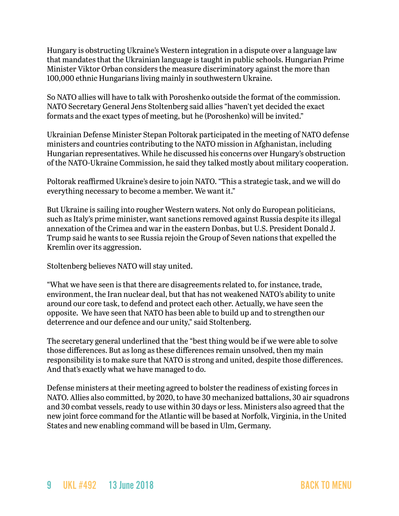Hungary is obstructing Ukraine's Western integration in a dispute over a language law that mandates that the Ukrainian language is taught in public schools. Hungarian Prime Minister Viktor Orban considers the measure discriminatory against the more than 100,000 ethnic Hungarians living mainly in southwestern Ukraine.

So NATO allies will have to talk with Poroshenko outside the format of the commission. NATO Secretary General Jens Stoltenberg said allies "haven't yet decided the exact formats and the exact types of meeting, but he (Poroshenko) will be invited."

Ukrainian Defense Minister Stepan Poltorak participated in the meeting of NATO defense ministers and countries contributing to the NATO mission in Afghanistan, including Hungarian representatives. While he discussed his concerns over Hungary's obstruction of the NATO-Ukraine Commission, he said they talked mostly about military cooperation.

Poltorak reaffirmed Ukraine's desire to join NATO. "This a strategic task, and we will do everything necessary to become a member. We want it."

But Ukraine is sailing into rougher Western waters. Not only do European politicians, such as Italy's prime minister, want sanctions removed against Russia despite its illegal annexation of the Crimea and war in the eastern Donbas, but U.S. President Donald J. Trump said he wants to see Russia rejoin the Group of Seven nations that expelled the Kremlin over its aggression.

Stoltenberg believes NATO will stay united.

"What we have seen is that there are disagreements related to, for instance, trade, environment, the Iran nuclear deal, but that has not weakened NATO's ability to unite around our core task, to defend and protect each other. Actually, we have seen the opposite. We have seen that NATO has been able to build up and to strengthen our deterrence and our defence and our unity," said Stoltenberg.

The secretary general underlined that the "best thing would be if we were able to solve those differences. But as long as these differences remain unsolved, then my main responsibility is to make sure that NATO is strong and united, despite those differences. And that's exactly what we have managed to do.

Defense ministers at their meeting agreed to bolster the readiness of existing forces in NATO. Allies also committed, by 2020, to have 30 mechanized battalions, 30 air squadrons and 30 combat vessels, ready to use within 30 days or less. Ministers also agreed that the new joint force command for the Atlantic will be based at Norfolk, Virginia, in the United States and new enabling command will be based in Ulm, Germany.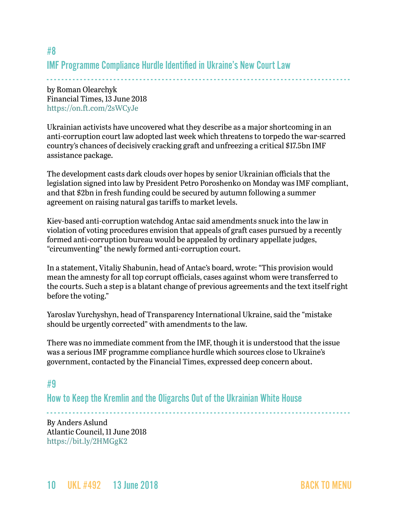## #8 IMF Programme Compliance Hurdle Identified in Ukraine's New Court Law

- - - - - - - - - - - - - - - - - - - - - - - - - - - - - - - - - - - - - - - - - - - - - - - - - - - - - - - - - - - - - - - - - - - - - - - - - - - - - - - - - by Roman Olearchyk Financial Times, 13 June 2018 <https://on.ft.com/2sWCyJe>

Ukrainian activists have uncovered what they describe as a major shortcoming in an anti-corruption court law adopted last week which threatens to torpedo the war-scarred country's chances of decisively cracking graft and unfreezing a critical \$17.5bn IMF assistance package.

The development casts dark clouds over hopes by senior Ukrainian officials that the legislation signed into law by President Petro Poroshenko on Monday was IMF compliant, and that \$2bn in fresh funding could be secured by autumn following a summer agreement on raising natural gas tariffs to market levels.

Kiev-based anti-corruption watchdog Antac said amendments snuck into the law in violation of voting procedures envision that appeals of graft cases pursued by a recently formed anti-corruption bureau would be appealed by ordinary appellate judges, "circumventing" the newly formed anti-corruption court.

In a statement, Vitaliy Shabunin, head of Antac's board, wrote: "This provision would mean the amnesty for all top corrupt officials, cases against whom were transferred to the courts. Such a step is a blatant change of previous agreements and the text itself right before the voting."

Yaroslav Yurchyshyn, head of Transparency International Ukraine, said the "mistake should be urgently corrected" with amendments to the law.

There was no immediate comment from the IMF, though it is understood that the issue was a serious IMF programme compliance hurdle which sources close to Ukraine's government, contacted by the Financial Times, expressed deep concern about.

## <span id="page-9-0"></span>#9

How to Keep the Kremlin and the Oligarchs Out of the Ukrainian White House

- - - - - - - - - - - - - - - - - - - - - - - - - - - - - - - - - - - - - - - - - - - - - - - - - - - - - - - - - - - - - - - - - - - - - - - - - - - - - - - - - - By Anders Aslund Atlantic Council, 11 June 2018 <https://bit.ly/2HMGgK2>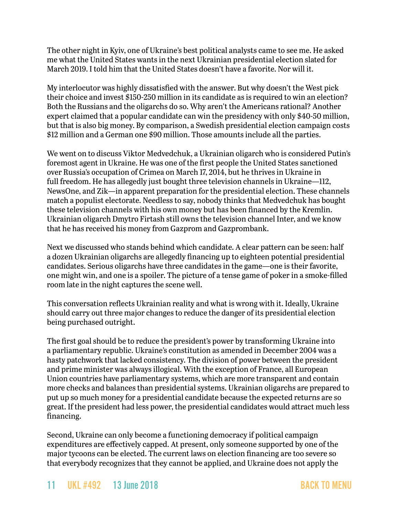The other night in Kyiv, one of Ukraine's best political analysts came to see me. He asked me what the United States wants in the next Ukrainian presidential election slated for March 2019. I told him that the United States doesn't have a favorite. Nor will it.

My interlocutor was highly dissatisfied with the answer. But why doesn't the West pick their choice and invest \$150-250 million in its candidate as is required to win an election? Both the Russians and the oligarchs do so. Why aren't the Americans rational? Another expert claimed that a popular candidate can win the presidency with only \$40-50 million, but that is also big money. By comparison, a Swedish presidential election campaign costs \$12 million and a German one \$90 million. Those amounts include all the parties.

We went on to discuss Viktor Medvedchuk, a Ukrainian oligarch who is considered Putin's foremost agent in Ukraine. He was one of the first people the United States sanctioned over Russia's occupation of Crimea on March 17, 2014, but he thrives in Ukraine in full freedom. He has allegedly just bought three television channels in Ukraine—112, NewsOne, and Zik—in apparent preparation for the presidential election. These channels match a populist electorate. Needless to say, nobody thinks that Medvedchuk has bought these television channels with his own money but has been financed by the Kremlin. Ukrainian oligarch Dmytro Firtash still owns the television channel Inter, and we know that he has received his money from Gazprom and Gazprombank.

Next we discussed who stands behind which candidate. A clear pattern can be seen: half a dozen Ukrainian oligarchs are allegedly financing up to eighteen potential presidential candidates. Serious oligarchs have three candidates in the game—one is their favorite, one might win, and one is a spoiler. The picture of a tense game of poker in a smoke-filled room late in the night captures the scene well.

This conversation reflects Ukrainian reality and what is wrong with it. Ideally, Ukraine should carry out three major changes to reduce the danger of its presidential election being purchased outright.

The first goal should be to reduce the president's power by transforming Ukraine into a parliamentary republic. Ukraine's constitution as amended in December 2004 was a hasty patchwork that lacked consistency. The division of power between the president and prime minister was always illogical. With the exception of France, all European Union countries have parliamentary systems, which are more transparent and contain more checks and balances than presidential systems. Ukrainian oligarchs are prepared to put up so much money for a presidential candidate because the expected returns are so great. If the president had less power, the presidential candidates would attract much less financing.

Second, Ukraine can only become a functioning democracy if political campaign expenditures are effectively capped. At present, only someone supported by one of the major tycoons can be elected. The current laws on election financing are too severe so that everybody recognizes that they cannot be applied, and Ukraine does not apply the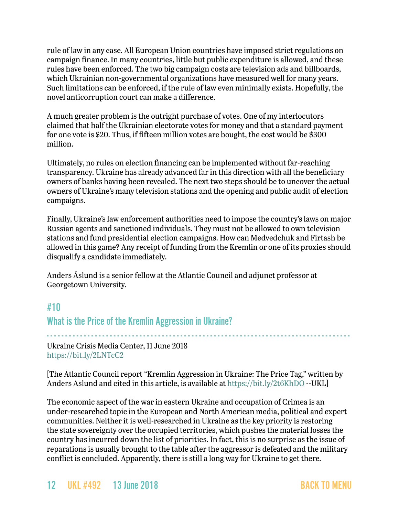rule of law in any case. All European Union countries have imposed strict regulations on campaign finance. In many countries, little but public expenditure is allowed, and these rules have been enforced. The two big campaign costs are television ads and billboards, which Ukrainian non-governmental organizations have measured well for many years. Such limitations can be enforced, if the rule of law even minimally exists. Hopefully, the novel anticorruption court can make a difference.

A much greater problem is the outright purchase of votes. One of my interlocutors claimed that half the Ukrainian electorate votes for money and that a standard payment for one vote is \$20. Thus, if fifteen million votes are bought, the cost would be \$300 million.

Ultimately, no rules on election financing can be implemented without far-reaching transparency. Ukraine has already advanced far in this direction with all the beneficiary owners of banks having been revealed. The next two steps should be to uncover the actual owners of Ukraine's many television stations and the opening and public audit of election campaigns.

Finally, Ukraine's law enforcement authorities need to impose the country's laws on major Russian agents and sanctioned individuals. They must not be allowed to own television stations and fund presidential election campaigns. How can Medvedchuk and Firtash be allowed in this game? Any receipt of funding from the Kremlin or one of its proxies should disqualify a candidate immediately.

Anders Åslund is a senior fellow at the Atlantic Council and adjunct professor at Georgetown University.

## <span id="page-11-0"></span>#10

What is the Price of the Kremlin Aggression in Ukraine?

- - - - - - - - - - - - - - - - - - - - - - - - - - - - - - - - - - - - - - - - - - - - - - - - - - - - - - - - - - - - - - - - - - - - - - - - - - - - - - - - - - Ukraine Crisis Media Center, 11 June 2018 <https://bit.ly/2LNTcC2>

[The Atlantic Council report "Kremlin Aggression in Ukraine: The Price Tag," written by Anders Aslund and cited in this article, is available at<https://bit.ly/2t6KhDO>--UKL]

The economic aspect of the war in eastern Ukraine and occupation of Crimea is an under-researched topic in the European and North American media, political and expert communities. Neither it is well-researched in Ukraine as the key priority is restoring the state sovereignty over the occupied territories, which pushes the material losses the country has incurred down the list of priorities. In fact, this is no surprise as the issue of reparations is usually brought to the table after the aggressor is defeated and the military conflict is concluded. Apparently, there is still a long way for Ukraine to get there.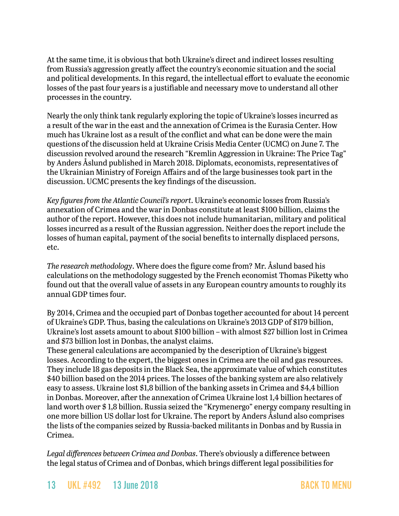At the same time, it is obvious that both Ukraine's direct and indirect losses resulting from Russia's aggression greatly affect the country's economic situation and the social and political developments. In this regard, the intellectual effort to evaluate the economic losses of the past four years is a justifiable and necessary move to understand all other processes in the country.

Nearly the only think tank regularly exploring the topic of Ukraine's losses incurred as a result of the war in the east and the annexation of Crimea is the Eurasia Center. How much has Ukraine lost as a result of the conflict and what can be done were the main questions of the discussion held at Ukraine Crisis Media Center (UCMC) on June 7. The discussion revolved around the research "Kremlin Aggression in Ukraine: The Price Tag" by Anders Åslund published in March 2018. Diplomats, economists, representatives of the Ukrainian Ministry of Foreign Affairs and of the large businesses took part in the discussion. UCMC presents the key findings of the discussion.

*Key figures from the Atlantic Council's report*. Ukraine's economic losses from Russia's annexation of Crimea and the war in Donbas constitute at least \$100 billion, claims the author of the [report.](http://www.atlanticcouncil.org/images/publications/Kremlin_Aggression_web_040218_revised.pdf) However, this does not include humanitarian, military and political losses incurred as a result of the Russian aggression. Neither does the report include the losses of human capital, payment of the social benefits to internally displaced persons, etc.

*The research methodology*. Where does the figure come from? Mr. Åslund based his calculations on the methodology suggested by the French economist Thomas Piketty who found out that the overall value of assets in any European country amounts to roughly its annual GDP times four.

By 2014, Crimea and the occupied part of Donbas together accounted for about 14 percent of Ukraine's GDP. Thus, basing the calculations on Ukraine's 2013 GDP of \$179 billion, Ukraine's lost assets amount to about \$100 billion – with almost \$27 billion lost in Crimea and \$73 billion lost in Donbas, the analyst claims.

These general calculations are accompanied by the description of Ukraine's biggest losses. According to the expert, the biggest ones in Crimea are the oil and gas resources. They include 18 gas deposits in the Black Sea, the approximate value of which constitutes \$40 billion based on the 2014 prices. The losses of the banking system are also relatively easy to assess. Ukraine lost \$1,8 billion of the banking assets in Crimea and \$4,4 billion in Donbas. Moreover, after the annexation of Crimea Ukraine lost 1,4 billion hectares of land worth over \$ 1,8 billion. Russia seized the "Krymenergo" energy company resulting in one more billion US dollar lost for Ukraine. The report by Anders Åslund also comprises the lists of the companies seized by Russia-backed militants in Donbas and by Russia in Crimea.

*Legal differences between Crimea and Donbas*. There's obviously a difference between the legal status of Crimea and of Donbas, which brings different legal possibilities for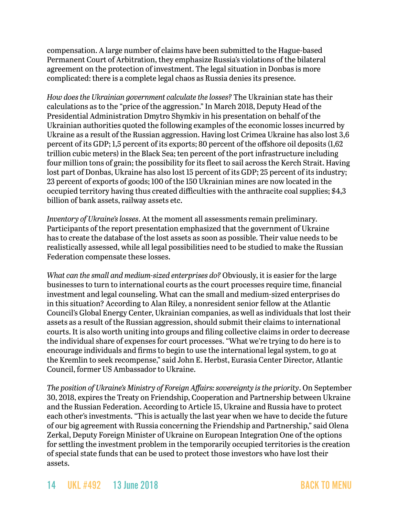compensation. A large number of claims have been submitted to the Hague-based Permanent Court of Arbitration, they emphasize Russia's violations of the bilateral agreement on the protection of investment. The legal situation in Donbas is more complicated: there is a complete legal chaos as Russia denies its presence.

*How does the Ukrainian government calculate the losses?* The Ukrainian state has their calculations as to the "price of the aggression." In March 2018, Deputy Head of the Presidential Administration Dmytro Shymkiv in his presentation on behalf of the Ukrainian authorities quoted the following examples of the economic losses incurred by Ukraine as a result of the Russian aggression. Having lost Crimea Ukraine has also lost 3,6 percent of its GDP; 1,5 percent of its exports; 80 percent of the offshore oil deposits (1,62 trillion cubic meters) in the Black Sea; ten percent of the port infrastructure including four million tons of grain; the possibility for its fleet to sail across the Kerch Strait. Having lost part of Donbas, Ukraine has also lost 15 percent of its GDP; 25 percent of its industry; 23 percent of exports of goods; 100 of the 150 Ukrainian mines are now located in the occupied territory having thus created difficulties with the anthracite coal supplies; \$4,3 billion of bank assets, railway assets etc.

*Inventory of Ukraine's losses*. At the moment all assessments remain preliminary. Participants of the report presentation emphasized that the government of Ukraine has to create the database of the lost assets as soon as possible. Their value needs to be realistically assessed, while all legal possibilities need to be studied to make the Russian Federation compensate these losses.

*What can the small and medium-sized enterprises do?* Obviously, it is easier for the large businesses to turn to international courts as the court processes require time, financial investment and legal counseling. What can the small and medium-sized enterprises do in this situation? According to Alan Riley, a nonresident senior fellow at the Atlantic Council's Global Energy Center, Ukrainian companies, as well as individuals that lost their assets as a result of the Russian aggression, should submit their claims to international courts. It is also worth uniting into groups and filing collective claims in order to decrease the individual share of expenses for court processes. "What we're trying to do here is to encourage individuals and firms to begin to use the international legal system, to go at the Kremlin to seek recompense," said John E. Herbst, Eurasia Center Director, Atlantic Council, former US Ambassador to Ukraine.

*The position of Ukraine's Ministry of Foreign Affairs: sovereignty is the priority*. On September 30, 2018, expires the Treaty on Friendship, Cooperation and Partnership between Ukraine and the Russian Federation. According to Article 15, Ukraine and Russia have to protect each other's investments. "This is actually the last year when we have to decide the future of our big agreement with Russia concerning the Friendship and Partnership," said Olena Zerkal, Deputy Foreign Minister of Ukraine on European Integration One of the options for settling the investment problem in the temporarily occupied territories is the creation of special state funds that can be used to protect those investors who have lost their assets.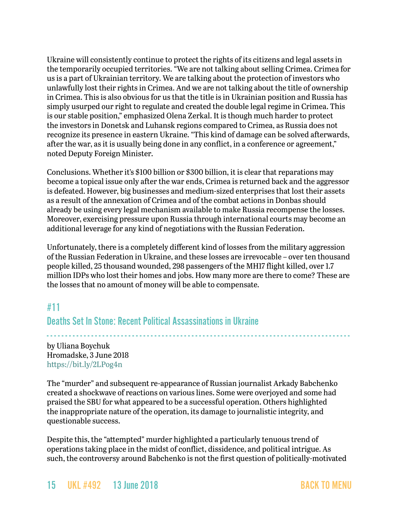Ukraine will consistently continue to protect the rights of its citizens and legal assets in the temporarily occupied territories. "We are not talking about selling Crimea. Crimea for us is a part of Ukrainian territory. We are talking about the protection of investors who unlawfully lost their rights in Crimea. And we are not talking about the title of ownership in Crimea. This is also obvious for us that the title is in Ukrainian position and Russia has simply usurped our right to regulate and created the double legal regime in Crimea. This is our stable position," emphasized Olena Zerkal. It is though much harder to protect the investors in Donetsk and Luhansk regions compared to Crimea, as Russia does not recognize its presence in eastern Ukraine. "This kind of damage can be solved afterwards, after the war, as it is usually being done in any conflict, in a conference or agreement," noted Deputy Foreign Minister.

Conclusions. Whether it's \$100 billion or \$300 billion, it is clear that reparations may become a topical issue only after the war ends, Crimea is returned back and the aggressor is defeated. However, big businesses and medium-sized enterprises that lost their assets as a result of the annexation of Crimea and of the combat actions in Donbas should already be using every legal mechanism available to make Russia recompense the losses. Moreover, exercising pressure upon Russia through international courts may become an additional leverage for any kind of negotiations with the Russian Federation.

Unfortunately, there is a completely different kind of losses from the military aggression of the Russian Federation in Ukraine, and these losses are irrevocable – over ten thousand people killed, 25 thousand wounded, 298 passengers of the MH17 flight killed, over 1.7 million IDPs who lost their homes and jobs. How many more are there to come? These are the losses that no amount of money will be able to compensate.

## <span id="page-14-0"></span>#11

## Deaths Set In Stone: Recent Political Assassinations in Ukraine

- - - - - - - - - - - - - - - - - - - - - - - - - - - - - - - - - - - - - - - - - - - - - - - - - - - - - - - - - - - - - - - - - - - - - - - - - - - - - - - - - by Uliana Boychuk Hromadske, 3 June 2018 <https://bit.ly/2LPog4n>

The "murder" and subsequent re-appearance of Russian journalist Arkady Babchenko created a shockwave of reactions on various lines. Some were overjoyed and some had praised the SBU for what appeared to be a successful operation. Others highlighted the inappropriate nature of the operation, its damage to journalistic integrity, and questionable success.

Despite this, the "attempted" murder highlighted a particularly tenuous trend of operations taking place in the midst of conflict, dissidence, and political intrigue. As such, the controversy around Babchenko is not the first question of politically-motivated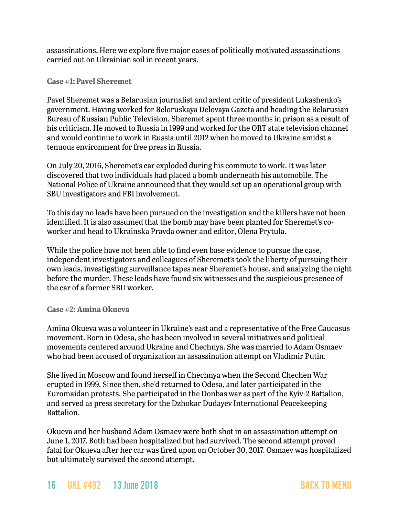assassinations. Here we explore five major cases of politically motivated assassinations carried out on Ukrainian soil in recent years.

#### **Case #1: Pavel Sheremet**

Pavel Sheremet was a Belarusian journalist and ardent critic of president Lukashenko's government. Having worked for Beloruskaya Delovaya Gazeta and heading the Belarusian Bureau of Russian Public Television, Sheremet spent three months in prison as a result of his criticism. He moved to Russia in 1999 and worked for the ORT state television channel and would continue to work in Russia until 2012 when he moved to Ukraine amidst a tenuous environment for free press in Russia.

On July 20, 2016, Sheremet's car exploded during his commute to work. It was later discovered that two individuals had placed a bomb underneath his automobile. The National Police of Ukraine announced that they would set up an operational group with SBU investigators and FBI involvement.

To this day no leads have been pursued on the investigation and the killers have not been identified. It is also assumed that the bomb may have been planted for Sheremet's coworker and head to Ukrainska Pravda owner and editor, Olena Prytula.

While the police have not been able to find even base evidence to pursue the case, independent investigators and colleagues of Sheremet's took the liberty of pursuing their own leads, investigating surveillance tapes near Sheremet's house, and analyzing the night before the murder. These leads have found six witnesses and the suspicious presence of the car of a former SBU worker.

#### **Case #2: Amina Okueva**

Amina Okueva was a volunteer in Ukraine's east and a representative of the Free Caucasus movement. Born in Odesa, she has been involved in several initiatives and political movements centered around Ukraine and Chechnya. She was married to Adam Osmaev who had been accused of organization an assassination attempt on Vladimir Putin.

She lived in Moscow and found herself in Chechnya when the Second Chechen War erupted in 1999. Since then, she'd returned to Odesa, and later participated in the Euromaidan protests. She participated in the Donbas war as part of the Kyiv-2 Battalion, and served as press secretary for the Dzhokar Dudayev International Peacekeeping Battalion.

Okueva and her husband Adam Osmaev were both shot in an assassination attempt on June 1, 2017. Both had been hospitalized but had survived. The second attempt proved fatal for Okueva after her car was fired upon on October 30, 2017. Osmaev was hospitalized but ultimately survived the second attempt.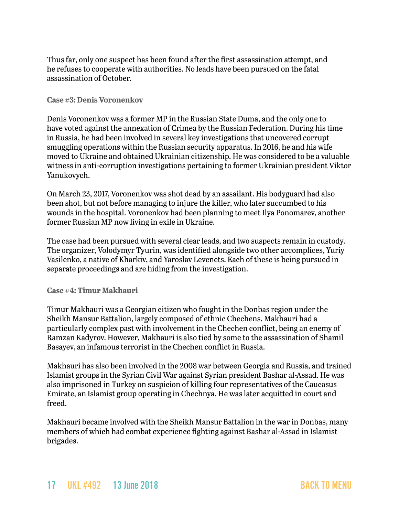Thus far, only one suspect has been found after the first assassination attempt, and he refuses to cooperate with authorities. No leads have been pursued on the fatal assassination of October.

#### **Case #3: Denis Voronenkov**

Denis Voronenkov was a former MP in the Russian State Duma, and the only one to have voted against the annexation of Crimea by the Russian Federation. During his time in Russia, he had been involved in several key investigations that uncovered corrupt smuggling operations within the Russian security apparatus. In 2016, he and his wife moved to Ukraine and obtained Ukrainian citizenship. He was considered to be a valuable witness in anti-corruption investigations pertaining to former Ukrainian president Viktor Yanukovych.

On March 23, 2017, Voronenkov was shot dead by an assailant. His bodyguard had also been shot, but not before managing to injure the killer, who later succumbed to his wounds in the hospital. Voronenkov had been planning to meet Ilya Ponomarev, another former Russian MP now living in exile in Ukraine.

The case had been pursued with several clear leads, and two suspects remain in custody. The organizer, Volodymyr Tyurin, was identified alongside two other accomplices, Yuriy Vasilenko, a native of Kharkiv, and Yaroslav Levenets. Each of these is being pursued in separate proceedings and are hiding from the investigation.

#### **Case #4: Timur Makhauri**

Timur Makhauri was a Georgian citizen who fought in the Donbas region under the Sheikh Mansur Battalion, largely composed of ethnic Chechens. Makhauri had a particularly complex past with involvement in the Chechen conflict, being an enemy of Ramzan Kadyrov. However, Makhauri is also tied by some to the assassination of Shamil Basayev, an infamous terrorist in the Chechen conflict in Russia.

Makhauri has also been involved in the 2008 war between Georgia and Russia, and trained Islamist groups in the Syrian Civil War against Syrian president Bashar al-Assad. He was also imprisoned in Turkey on suspicion of killing four representatives of the Caucasus Emirate, an Islamist group operating in Chechnya. He was later acquitted in court and freed.

Makhauri became involved with the Sheikh Mansur Battalion in the war in Donbas, many members of which had combat experience fighting against Bashar al-Assad in Islamist brigades.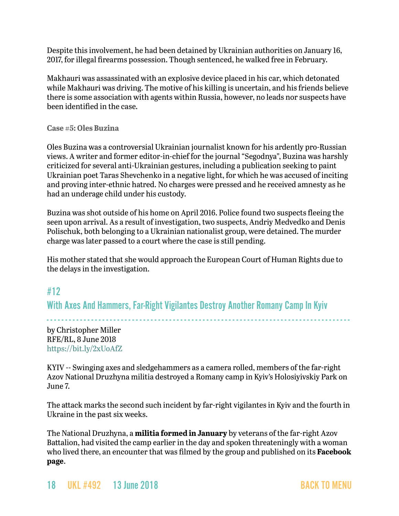Despite this involvement, he had been detained by Ukrainian authorities on January 16, 2017, for illegal firearms possession. Though sentenced, he walked free in February.

Makhauri was assassinated with an explosive device placed in his car, which detonated while Makhauri was driving. The motive of his killing is uncertain, and his friends believe there is some association with agents within Russia, however, no leads nor suspects have been identified in the case.

#### **Case #5: Oles Buzina**

Oles Buzina was a controversial Ukrainian journalist known for his ardently pro-Russian views. A writer and former editor-in-chief for the journal "Segodnya", Buzina was harshly criticized for several anti-Ukrainian gestures, including a publication seeking to paint Ukrainian poet Taras Shevchenko in a negative light, for which he was accused of inciting and proving inter-ethnic hatred. No charges were pressed and he received amnesty as he had an underage child under his custody.

Buzina was shot outside of his home on April 2016. Police found two suspects fleeing the seen upon arrival. As a result of investigation, two suspects, Andriy Medvedko and Denis Polischuk, both belonging to a Ukrainian nationalist group, were detained. The murder charge was later passed to a court where the case is still pending.

His mother stated that she would approach the European Court of Human Rights due to the delays in the investigation.

## <span id="page-17-0"></span>#12

With Axes And Hammers, Far-Right Vigilantes Destroy Another Romany Camp In Kyiv

- - - - - - - - - - - - - - - - - - - - - - - - - - - - - - - - - - - - - - - - - - - - - - - - - - - - - - - - - - - - - - - - - - - - - - - - - - - - - - - - - by Christopher Miller RFE/RL, 8 June 2018 <https://bit.ly/2xUoAfZ>

KYIV -- Swinging axes and sledgehammers as a camera rolled, members of the far-right Azov National Druzhyna militia destroyed a Romany camp in Kyiv's Holosiyivskiy Park on June 7.

The attack marks the second such incident by far-right vigilantes in Kyiv and the fourth in Ukraine in the past six weeks.

The National Druzhyna, a **militia formed in January** by veterans of the far-right Azov Battalion, had visited the camp earlier in the day and spoken threateningly with a woman who lived there, an encounter that was filmed by the group and published on its **Facebook page**.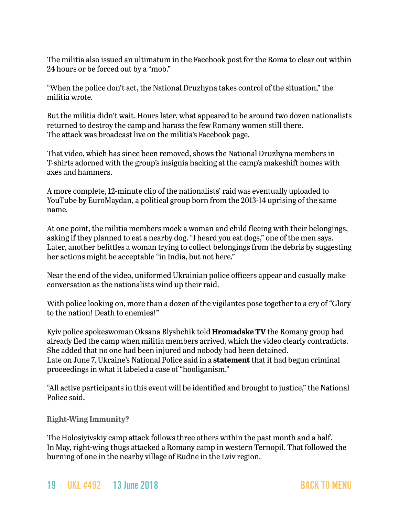The militia also issued an ultimatum in the Facebook post for the Roma to clear out within 24 hours or be forced out by a "mob."

"When the police don't act, the National Druzhyna takes control of the situation," the militia wrote.

But the militia didn't wait. Hours later, what appeared to be around two dozen nationalists returned to destroy the camp and harass the few Romany women still there. The attack was broadcast live on the militia's Facebook page.

That video, which has since been removed, shows the National Druzhyna members in T-shirts adorned with the group's insignia hacking at the camp's makeshift homes with axes and hammers.

A more complete, 12-minute clip of the nationalists' raid was eventually uploaded to YouTube by EuroMaydan, a political group born from the 2013-14 uprising of the same name.

At one point, the militia members mock a woman and child fleeing with their belongings, asking if they planned to eat a nearby dog. "I heard you eat dogs," one of the men says. Later, another belittles a woman trying to collect belongings from the debris by suggesting her actions might be acceptable "in India, but not here."

Near the end of the video, uniformed Ukrainian police officers appear and casually make conversation as the nationalists wind up their raid.

With police looking on, more than a dozen of the vigilantes pose together to a cry of "Glory to the nation! Death to enemies!"

Kyiv police spokeswoman Oksana Blyshchik told **Hromadske TV** the Romany group had already fled the camp when militia members arrived, which the video clearly contradicts. She added that no one had been injured and nobody had been detained. Late on June 7, Ukraine's National Police said in a **statement** that it had begun criminal proceedings in what it labeled a case of "hooliganism."

"All active participants in this event will be identified and brought to justice," the National Police said.

**Right-Wing Immunity?**

The Holosiyivskiy camp attack follows three others within the past month and a half. In May, right-wing thugs attacked a Romany camp in western Ternopil. That followed the burning of one in the nearby village of Rudne in the Lviv region.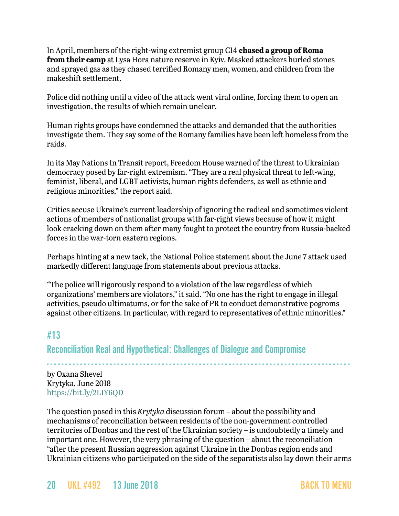In April, members of the right-wing extremist group C14 **chased a group of Roma from their camp** at Lysa Hora nature reserve in Kyiv. Masked attackers hurled stones and sprayed gas as they chased terrified Romany men, women, and children from the makeshift settlement.

Police did nothing until a video of the attack went viral online, forcing them to open an investigation, the results of which remain unclear.

Human rights groups have condemned the attacks and demanded that the authorities investigate them. They say some of the Romany families have been left homeless from the raids.

In its May Nations In Transit report, Freedom House warned of the threat to Ukrainian democracy posed by far-right extremism. "They are a real physical threat to left-wing, feminist, liberal, and LGBT activists, human rights defenders, as well as ethnic and religious minorities," the report said.

Critics accuse Ukraine's current leadership of ignoring the radical and sometimes violent actions of members of nationalist groups with far-right views because of how it might look cracking down on them after many fought to protect the country from Russia-backed forces in the war-torn eastern regions.

Perhaps hinting at a new tack, the National Police statement about the June 7 attack used markedly different language from statements about previous attacks.

"The police will rigorously respond to a violation of the law regardless of which organizations' members are violators," it said. "No one has the right to engage in illegal activities, pseudo ultimatums, or for the sake of PR to conduct demonstrative pogroms against other citizens. In particular, with regard to representatives of ethnic minorities."

## <span id="page-19-0"></span>#13

Reconciliation Real and Hypothetical: Challenges of Dialogue and Compromise

- - - - - - - - - - - - - - - - - - - - - - - - - - - - - - - - - - - - - - - - - - - - - - - - - - - - - - - - - - - - - - - - - - - - - - - - - - - - - - - - - by Oxana Shevel Krytyka, June 2018 <https://bit.ly/2LIY6QD>

The question posed in this *Krytyka* discussion forum – about the possibility and mechanisms of reconciliation between residents of the non-government controlled territories of Donbas and the rest of the Ukrainian society – is undoubtedly a timely and important one. However, the very phrasing of the question – about the reconciliation "after the present Russian aggression against Ukraine in the Donbas region ends and Ukrainian citizens who participated on the side of the separatists also lay down their arms

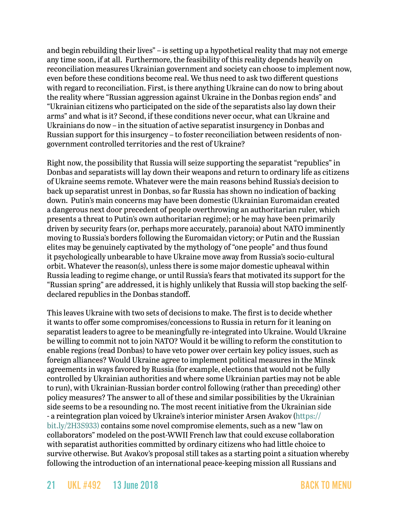and begin rebuilding their lives" – is setting up a hypothetical reality that may not emerge any time soon, if at all. Furthermore, the feasibility of this reality depends heavily on reconciliation measures Ukrainian government and society can choose to implement now, even before these conditions become real. We thus need to ask two different questions with regard to reconciliation. First, is there anything Ukraine can do now to bring about the reality where "Russian aggression against Ukraine in the Donbas region ends" and "Ukrainian citizens who participated on the side of the separatists also lay down their arms" and what is it? Second, if these conditions never occur, what can Ukraine and Ukrainians do now – in the situation of active separatist insurgency in Donbas and Russian support for this insurgency – to foster reconciliation between residents of nongovernment controlled territories and the rest of Ukraine?

Right now, the possibility that Russia will seize supporting the separatist "republics" in Donbas and separatists will lay down their weapons and return to ordinary life as citizens of Ukraine seems remote. Whatever were the main reasons behind Russia's decision to back up separatist unrest in Donbas, so far Russia has shown no indication of backing down. Putin's main concerns may have been domestic (Ukrainian Euromaidan created a dangerous next door precedent of people overthrowing an authoritarian ruler, which presents a threat to Putin's own authoritarian regime); or he may have been primarily driven by security fears (or, perhaps more accurately, paranoia) about NATO imminently moving to Russia's borders following the Euromaidan victory; or Putin and the Russian elites may be genuinely captivated by the mythology of "one people" and thus found it psychologically unbearable to have Ukraine move away from Russia's socio-cultural orbit. Whatever the reason(s), unless there is some major domestic upheaval within Russia leading to regime change, or until Russia's fears that motivated its support for the "Russian spring" are addressed, it is highly unlikely that Russia will stop backing the selfdeclared republics in the Donbas standoff.

This leaves Ukraine with two sets of decisions to make. The first is to decide whether it wants to offer some compromises/concessions to Russia in return for it leaning on separatist leaders to agree to be meaningfully re-integrated into Ukraine. Would Ukraine be willing to commit not to join NATO? Would it be willing to reform the constitution to enable regions (read Donbas) to have veto power over certain key policy issues, such as foreign alliances? Would Ukraine agree to implement political measures in the Minsk agreements in ways favored by Russia (for example, elections that would not be fully controlled by Ukrainian authorities and where some Ukrainian parties may not be able to run), with Ukrainian-Russian border control following (rather than preceding) other policy measures? The answer to all of these and similar possibilities by the Ukrainian side seems to be a resounding no. The most recent initiative from the Ukrainian side - a reintegration plan voiced by Ukraine's interior minister Arsen Avakov ([https://](https://bit.ly/2H3S933)) [bit.ly/2H3S933\)](https://bit.ly/2H3S933)) contains some novel compromise elements, such as a new "law on collaborators" modeled on the post-WWII French law that could excuse collaboration with separatist authorities committed by ordinary citizens who had little choice to survive otherwise. But Avakov's proposal still takes as a starting point a situation whereby following the introduction of an international peace-keeping mission all Russians and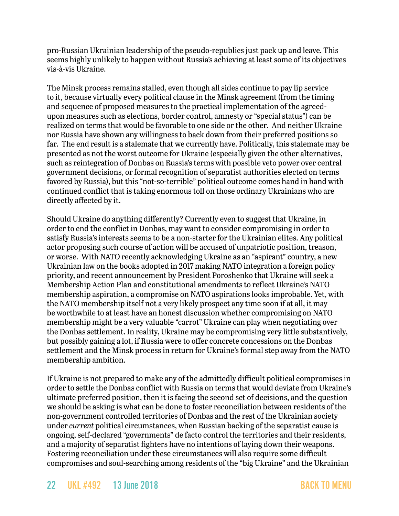pro-Russian Ukrainian leadership of the pseudo-republics just pack up and leave. This seems highly unlikely to happen without Russia's achieving at least some of its objectives vis-à-vis Ukraine.

The Minsk process remains stalled, even though all sides continue to pay lip service to it, because virtually every political clause in the Minsk agreement (from the timing and sequence of proposed measures to the practical implementation of the agreedupon measures such as elections, border control, amnesty or "special status") can be realized on terms that would be favorable to one side or the other. And neither Ukraine nor Russia have shown any willingness to back down from their preferred positions so far. The end result is a stalemate that we currently have. Politically, this stalemate may be presented as not the worst outcome for Ukraine (especially given the other alternatives, such as reintegration of Donbas on Russia's terms with possible veto power over central government decisions, or formal recognition of separatist authorities elected on terms favored by Russia), but this "not-so-terrible" political outcome comes hand in hand with continued conflict that is taking enormous toll on those ordinary Ukrainians who are directly affected by it.

Should Ukraine do anything differently? Currently even to suggest that Ukraine, in order to end the conflict in Donbas, may want to consider compromising in order to satisfy Russia's interests seems to be a non-starter for the Ukrainian elites. Any political actor proposing such course of action will be accused of unpatriotic position, treason, or worse. With NATO recently acknowledging Ukraine as an "aspirant" country, a new Ukrainian law on the books adopted in 2017 making NATO integration a foreign policy priority, and recent announcement by President Poroshenko that Ukraine will seek a Membership Action Plan and constitutional amendments to reflect Ukraine's NATO membership aspiration, a compromise on NATO aspirations looks improbable. Yet, with the NATO membership itself not a very likely prospect any time soon if at all, it may be worthwhile to at least have an honest discussion whether compromising on NATO membership might be a very valuable "carrot" Ukraine can play when negotiating over the Donbas settlement. In reality, Ukraine may be compromising very little substantively, but possibly gaining a lot, if Russia were to offer concrete concessions on the Donbas settlement and the Minsk process in return for Ukraine's formal step away from the NATO membership ambition.

If Ukraine is not prepared to make any of the admittedly difficult political compromises in order to settle the Donbas conflict with Russia on terms that would deviate from Ukraine's ultimate preferred position, then it is facing the second set of decisions, and the question we should be asking is what can be done to foster reconciliation between residents of the non-government controlled territories of Donbas and the rest of the Ukrainian society under *current* political circumstances, when Russian backing of the separatist cause is ongoing, self-declared "governments" de facto control the territories and their residents, and a majority of separatist fighters have no intentions of laying down their weapons. Fostering reconciliation under these circumstances will also require some difficult compromises and soul-searching among residents of the "big Ukraine" and the Ukrainian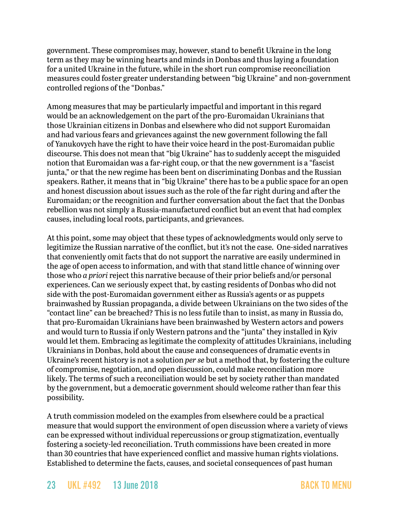government. These compromises may, however, stand to benefit Ukraine in the long term as they may be winning hearts and minds in Donbas and thus laying a foundation for a united Ukraine in the future, while in the short run compromise reconciliation measures could foster greater understanding between "big Ukraine" and non-government controlled regions of the "Donbas."

Among measures that may be particularly impactful and important in this regard would be an acknowledgement on the part of the pro-Euromaidan Ukrainians that those Ukrainian citizens in Donbas and elsewhere who did not support Euromaidan and had various fears and grievances against the new government following the fall of Yanukovych have the right to have their voice heard in the post-Euromaidan public discourse. This does not mean that "big Ukraine" has to suddenly accept the misguided notion that Euromaidan was a far-right coup, or that the new government is a "fascist junta," or that the new regime has been bent on discriminating Donbas and the Russian speakers. Rather, it means that in "big Ukraine" there has to be a public space for an open and honest discussion about issues such as the role of the far right during and after the Euromaidan; or the recognition and further conversation about the fact that the Donbas rebellion was not simply a Russia-manufactured conflict but an event that had complex causes, including local roots, participants, and grievances.

At this point, some may object that these types of acknowledgments would only serve to legitimize the Russian narrative of the conflict, but it's not the case. One-sided narratives that conveniently omit facts that do not support the narrative are easily undermined in the age of open access to information, and with that stand little chance of winning over those who *a priori* reject this narrative because of their prior beliefs and/or personal experiences. Can we seriously expect that, by casting residents of Donbas who did not side with the post-Euromaidan government either as Russia's agents or as puppets brainwashed by Russian propaganda, a divide between Ukrainians on the two sides of the "contact line" can be breached? This is no less futile than to insist, as many in Russia do, that pro-Euromaidan Ukrainians have been brainwashed by Western actors and powers and would turn to Russia if only Western patrons and the "junta" they installed in Kyiv would let them. Embracing as legitimate the complexity of attitudes Ukrainians, including Ukrainians in Donbas, hold about the cause and consequences of dramatic events in Ukraine's recent history is not a solution *per se* but a method that, by fostering the culture of compromise, negotiation, and open discussion, could make reconciliation more likely. The terms of such a reconciliation would be set by society rather than mandated by the government, but a democratic government should welcome rather than fear this possibility.

A truth commission modeled on the examples from elsewhere could be a practical measure that would support the environment of open discussion where a variety of views can be expressed without individual repercussions or group stigmatization, eventually fostering a society-led reconciliation. Truth commissions have been created in more than 30 countries that have experienced conflict and massive human rights violations. Established to determine the facts, causes, and societal consequences of past human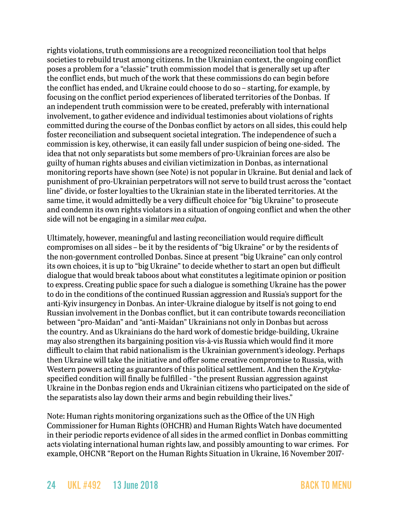rights violations, truth commissions are a recognized reconciliation tool that helps societies to rebuild trust among citizens. In the Ukrainian context, the ongoing conflict poses a problem for a "classic" truth commission model that is generally set up after the conflict ends, but much of the work that these commissions do can begin before the conflict has ended, and Ukraine could choose to do so – starting, for example, by focusing on the conflict period experiences of liberated territories of the Donbas. If an independent truth commission were to be created, preferably with international involvement, to gather evidence and individual testimonies about violations of rights committed during the course of the Donbas conflict by actors on all sides, this could help foster reconciliation and subsequent societal integration. The independence of such a commission is key, otherwise, it can easily fall under suspicion of being one-sided. The idea that not only separatists but some members of pro-Ukrainian forces are also be guilty of human rights abuses and civilian victimization in Donbas, as international monitoring reports have shown (see Note) is not popular in Ukraine. But denial and lack of punishment of pro-Ukrainian perpetrators will not serve to build trust across the "contact line" divide, or foster loyalties to the Ukrainian state in the liberated territories. At the same time, it would admittedly be a very difficult choice for "big Ukraine" to prosecute and condemn its own rights violators in a situation of ongoing conflict and when the other side will not be engaging in a similar *mea culpa*.

Ultimately, however, meaningful and lasting reconciliation would require difficult compromises on all sides – be it by the residents of "big Ukraine" or by the residents of the non-government controlled Donbas. Since at present "big Ukraine" can only control its own choices, it is up to "big Ukraine" to decide whether to start an open but difficult dialogue that would break taboos about what constitutes a legitimate opinion or position to express. Creating public space for such a dialogue is something Ukraine has the power to do in the conditions of the continued Russian aggression and Russia's support for the anti-Kyiv insurgency in Donbas. An inter-Ukraine dialogue by itself is not going to end Russian involvement in the Donbas conflict, but it can contribute towards reconciliation between "pro-Maidan" and "anti-Maidan" Ukrainians not only in Donbas but across the country. And as Ukrainians do the hard work of domestic bridge-building, Ukraine may also strengthen its bargaining position vis-à-vis Russia which would find it more difficult to claim that rabid nationalism is the Ukrainian government's ideology. Perhaps then Ukraine will take the initiative and offer some creative compromise to Russia, with Western powers acting as guarantors of this political settlement. And then the *Krytyka*specified condition will finally be fulfilled - "the present Russian aggression against Ukraine in the Donbas region ends and Ukrainian citizens who participated on the side of the separatists also lay down their arms and begin rebuilding their lives."

Note: Human rights monitoring organizations such as the Office of the UN High Commissioner for Human Rights (OHCHR) and Human Rights Watch have documented in their periodic reports evidence of all sides in the armed conflict in Donbas committing acts violating international human rights law, and possibly amounting to war crimes. For example, OHCNR "Report on the Human Rights Situation in Ukraine, 16 November 2017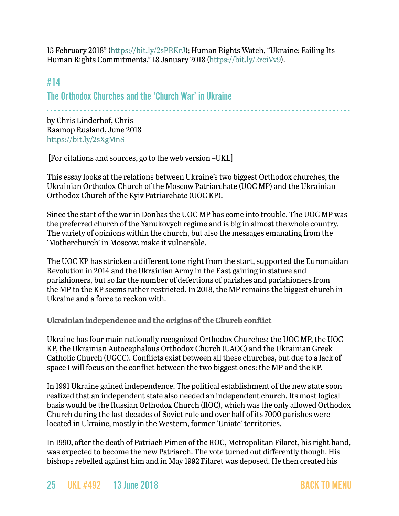15 February 2018" ([https://bit.ly/2sPRKrJ\)](https://bit.ly/2sPRKrJ); Human Rights Watch, "Ukraine: Failing Its Human Rights Commitments," 18 January 2018 [\(https://bit.ly/2rciVv9](https://bit.ly/2rciVv9)).

## #14 The Orthodox Churches and the 'Church War' in Ukraine

- - - - - - - - - - - - - - - - - - - - - - - - - - - - - - - - - - - - - - - - - - - - - - - - - - - - - - - - - - - - - - - - - - - - - - - - - - - - - - - - - -

by Chris Linderhof, Chris Raamop Rusland, June 2018 <https://bit.ly/2sXgMnS>

[For citations and sources, go to the web version –UKL]

This essay looks at the relations between Ukraine's two biggest Orthodox churches, the Ukrainian Orthodox Church of the Moscow Patriarchate (UOC MP) and the Ukrainian Orthodox Church of the Kyiv Patriarchate (UOC KP).

Since the start of the war in Donbas the UOC MP has come into trouble. The UOC MP was the preferred church of the Yanukovych regime and is big in almost the whole country. The variety of opinions within the church, but also the messages emanating from the 'Motherchurch' in Moscow, make it vulnerable.

The UOC KP has stricken a different tone right from the start, supported the Euromaidan Revolution in 2014 and the Ukrainian Army in the East gaining in stature and parishioners, but so far the number of defections of parishes and parishioners from the MP to the KP seems rather restricted. In 2018, the MP remains the biggest church in Ukraine and a force to reckon with.

**Ukrainian independence and the origins of the Church conflict**

Ukraine has four main nationally recognized Orthodox Churches: the UOC MP, the UOC KP, the Ukrainian Autocephalous Orthodox Church (UAOC) and the Ukrainian Greek Catholic Church (UGCC). Conflicts exist between all these churches, but due to a lack of space I will focus on the conflict between the two biggest ones: the MP and the KP.

In 1991 Ukraine gained independence. The political establishment of the new state soon realized that an independent state also needed an independent church. Its most logical basis would be the Russian Orthodox Church (ROC), which was the only allowed Orthodox Church during the last decades of Soviet rule and over half of its 7000 parishes were located in Ukraine, mostly in the Western, former 'Uniate' territories.

In 1990, after the death of Patriach Pimen of the ROC, Metropolitan Filaret, his right hand, was expected to become the new Patriarch. The vote turned out differently though. His bishops rebelled against him and in May 1992 Filaret was deposed. He then created his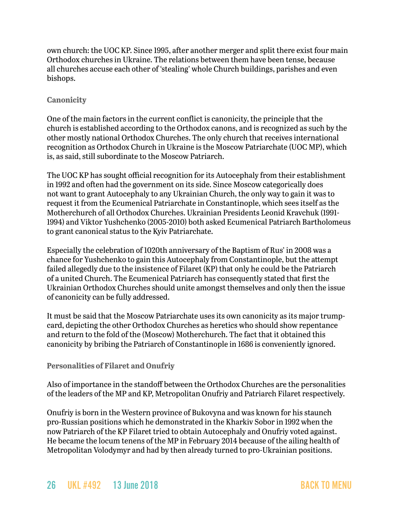own church: the UOC KP. Since 1995, after another merger and split there exist four main Orthodox churches in Ukraine. The relations between them have been tense, because all churches accuse each other of 'stealing' whole Church buildings, parishes and even bishops.

#### **Canonicity**

One of the main factors in the current conflict is canonicity, the principle that the church is established according to the Orthodox canons, and is recognized as such by the other mostly national Orthodox Churches. The only church that receives international recognition as Orthodox Church in Ukraine is the Moscow Patriarchate (UOC MP), which is, as said, still subordinate to the Moscow Patriarch.

The UOC KP has sought official recognition for its Autocephaly from their establishment in 1992 and often had the government on its side. Since Moscow categorically does not want to grant Autocephaly to any Ukrainian Church, the only way to gain it was to request it from the Ecumenical Patriarchate in Constantinople, which sees itself as the Motherchurch of all Orthodox Churches. Ukrainian Presidents Leonid Kravchuk (1991- 1994) and Viktor Yushchenko (2005-2010) both asked Ecumenical Patriarch Bartholomeus to grant canonical status to the Kyiv Patriarchate.

Especially the celebration of 1020th anniversary of the Baptism of Rus' in 2008 was a chance for Yushchenko to gain this Autocephaly from Constantinople, but the attempt failed allegedly due to the insistence of Filaret (KP) that only he could be the Patriarch of a united Church. The Ecumenical Patriarch has consequently stated that first the Ukrainian Orthodox Churches should unite amongst themselves and only then the issue of canonicity can be fully addressed.

It must be said that the Moscow Patriarchate uses its own canonicity as its major trumpcard, depicting the other Orthodox Churches as heretics who should show repentance and return to the fold of the (Moscow) Motherchurch. The fact that it obtained this canonicity by bribing the Patriarch of Constantinople in 1686 is conveniently ignored.

#### **Personalities of Filaret and Onufriy**

Also of importance in the standoff between the Orthodox Churches are the personalities of the leaders of the MP and KP, Metropolitan Onufriy and Patriarch Filaret respectively.

Onufriy is born in the Western province of Bukovyna and was known for his staunch pro-Russian positions which he demonstrated in the Kharkiv Sobor in 1992 when the now Patriarch of the KP Filaret tried to obtain Autocephaly and Onufriy voted against. He became the locum tenens of the MP in February 2014 because of the ailing health of Metropolitan Volodymyr and had by then already turned to pro-Ukrainian positions.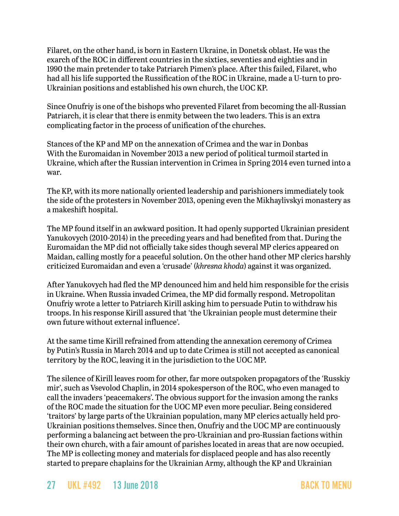Filaret, on the other hand, is born in Eastern Ukraine, in Donetsk oblast. He was the exarch of the ROC in different countries in the sixties, seventies and eighties and in 1990 the main pretender to take Patriarch Pimen's place. After this failed, Filaret, who had all his life supported the Russification of the ROC in Ukraine, made a U-turn to pro-Ukrainian positions and established his own church, the UOC KP.

Since Onufriy is one of the bishops who prevented Filaret from becoming the all-Russian Patriarch, it is clear that there is enmity between the two leaders. This is an extra complicating factor in the process of unification of the churches.

Stances of the KP and MP on the annexation of Crimea and the war in Donbas With the Euromaidan in November 2013 a new period of political turmoil started in Ukraine, which after the Russian intervention in Crimea in Spring 2014 even turned into a war.

The KP, with its more nationally oriented leadership and parishioners immediately took the side of the protesters in November 2013, opening even the Mikhaylivskyi monastery as a makeshift hospital.

The MP found itself in an awkward position. It had openly supported Ukrainian president Yanukovych (2010-2014) in the preceding years and had benefited from that. During the Euromaidan the MP did not officially take sides though several MP clerics appeared on Maidan, calling mostly for a peaceful solution. On the other hand other MP clerics harshly criticized Euromaidan and even a 'crusade' (*khresna khoda*) against it was organized.

After Yanukovych had fled the MP denounced him and held him responsible for the crisis in Ukraine. When Russia invaded Crimea, the MP did formally respond. Metropolitan Onufriy wrote a letter to Patriarch Kirill asking him to persuade Putin to withdraw his troops. In his response Kirill assured that 'the Ukrainian people must determine their own future without external influence'.

At the same time Kirill refrained from attending the annexation ceremony of Crimea by Putin's Russia in March 2014 and up to date Crimea is still not accepted as canonical territory by the ROC, leaving it in the jurisdiction to the UOC MP.

The silence of Kirill leaves room for other, far more outspoken propagators of the 'Russkiy mir', such as Vsevolod Chaplin, in 2014 spokesperson of the ROC, who even managed to call the invaders 'peacemakers'. The obvious support for the invasion among the ranks of the ROC made the situation for the UOC MP even more peculiar. Being considered 'traitors' by large parts of the Ukrainian population, many MP clerics actually held pro-Ukrainian positions themselves. Since then, Onufriy and the UOC MP are continuously performing a balancing act between the pro-Ukrainian and pro-Russian factions within their own church, with a fair amount of parishes located in areas that are now occupied. The MP is collecting money and materials for displaced people and has also recently started to prepare chaplains for the Ukrainian Army, although the KP and Ukrainian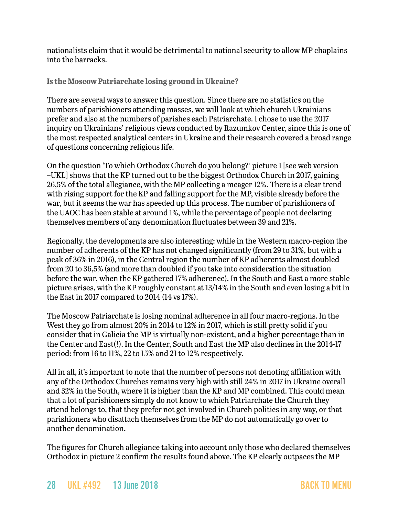nationalists claim that it would be detrimental to national security to allow MP chaplains into the barracks.

**Is the Moscow Patriarchate losing ground in Ukraine?**

There are several ways to answer this question. Since there are no statistics on the numbers of parishioners attending masses, we will look at which church Ukrainians prefer and also at the numbers of parishes each Patriarchate. I chose to use the 2017 inquiry on Ukrainians' religious views conducted by Razumkov Center, since this is one of the most respected analytical centers in Ukraine and their research covered a broad range of questions concerning religious life.

On the question 'To which Orthodox Church do you belong?' picture 1 [see web version –UKL] shows that the KP turned out to be the biggest Orthodox Church in 2017, gaining 26,5% of the total allegiance, with the MP collecting a meager 12%. There is a clear trend with rising support for the KP and falling support for the MP, visible already before the war, but it seems the war has speeded up this process. The number of parishioners of the UAOC has been stable at around 1%, while the percentage of people not declaring themselves members of any denomination fluctuates between 39 and 21%.

Regionally, the developments are also interesting: while in the Western macro-region the number of adherents of the KP has not changed significantly (from 29 to 31%, but with a peak of 36% in 2016), in the Central region the number of KP adherents almost doubled from 20 to 36,5% (and more than doubled if you take into consideration the situation before the war, when the KP gathered 17% adherence). In the South and East a more stable picture arises, with the KP roughly constant at 13/14% in the South and even losing a bit in the East in 2017 compared to 2014 (14 vs 17%).

The Moscow Patriarchate is losing nominal adherence in all four macro-regions. In the West they go from almost 20% in 2014 to 12% in 2017, which is still pretty solid if you consider that in Galicia the MP is virtually non-existent, and a higher percentage than in the Center and East(!). In the Center, South and East the MP also declines in the 2014-17 period: from 16 to 11%, 22 to 15% and 21 to 12% respectively.

All in all, it's important to note that the number of persons not denoting affiliation with any of the Orthodox Churches remains very high with still 24% in 2017 in Ukraine overall and 32% in the South, where it is higher than the KP and MP combined. This could mean that a lot of parishioners simply do not know to which Patriarchate the Church they attend belongs to, that they prefer not get involved in Church politics in any way, or that parishioners who disattach themselves from the MP do not automatically go over to another denomination.

The figures for Church allegiance taking into account only those who declared themselves Orthodox in picture 2 confirm the results found above. The KP clearly outpaces the MP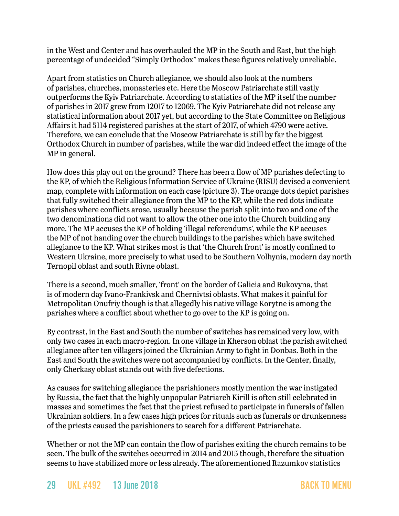in the West and Center and has overhauled the MP in the South and East, but the high percentage of undecided "Simply Orthodox" makes these figures relatively unreliable.

Apart from statistics on Church allegiance, we should also look at the numbers of parishes, churches, monasteries etc. Here the Moscow Patriarchate still vastly outperforms the Kyiv Patriarchate. According to statistics of the MP itself the number of parishes in 2017 grew from 12017 to 12069. The Kyiv Patriarchate did not release any statistical information about 2017 yet, but according to the State Committee on Religious Affairs it had 5114 registered parishes at the start of 2017, of which 4790 were active. Therefore, we can conclude that the Moscow Patriarchate is still by far the biggest Orthodox Church in number of parishes, while the war did indeed effect the image of the MP in general.

How does this play out on the ground? There has been a flow of MP parishes defecting to the KP, of which the Religious Information Service of Ukraine (RISU) devised a convenient map, complete with information on each case (picture 3). The orange dots depict parishes that fully switched their allegiance from the MP to the KP, while the red dots indicate parishes where conflicts arose, usually because the parish split into two and one of the two denominations did not want to allow the other one into the Church building any more. The MP accuses the KP of holding 'illegal referendums', while the KP accuses the MP of not handing over the church buildings to the parishes which have switched allegiance to the KP. What strikes most is that 'the Church front' is mostly confined to Western Ukraine, more precisely to what used to be Southern Volhynia, modern day north Ternopil oblast and south Rivne oblast.

There is a second, much smaller, 'front' on the border of Galicia and Bukovyna, that is of modern day Ivano-Frankivsk and Chernivtsi oblasts. What makes it painful for Metropolitan Onufriy though is that allegedly his native village Korytne is among the parishes where a conflict about whether to go over to the KP is going on.

By contrast, in the East and South the number of switches has remained very low, with only two cases in each macro-region. In one village in Kherson oblast the parish switched allegiance after ten villagers joined the Ukrainian Army to fight in Donbas. Both in the East and South the switches were not accompanied by conflicts. In the Center, finally, only Cherkasy oblast stands out with five defections.

As causes for switching allegiance the parishioners mostly mention the war instigated by Russia, the fact that the highly unpopular Patriarch Kirill is often still celebrated in masses and sometimes the fact that the priest refused to participate in funerals of fallen Ukrainian soldiers. In a few cases high prices for rituals such as funerals or drunkenness of the priests caused the parishioners to search for a different Patriarchate.

Whether or not the MP can contain the flow of parishes exiting the church remains to be seen. The bulk of the switches occurred in 2014 and 2015 though, therefore the situation seems to have stabilized more or less already. The aforementioned Razumkov statistics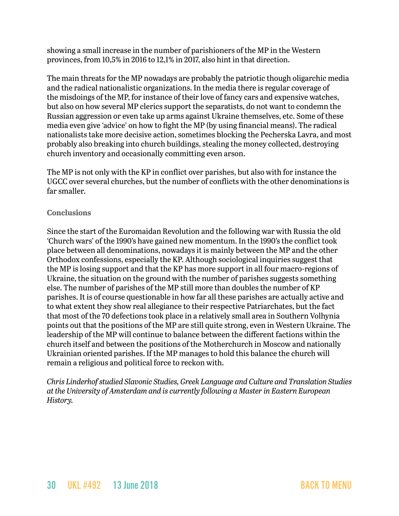showing a small increase in the number of parishioners of the MP in the Western provinces, from 10,5% in 2016 to 12,1% in 2017, also hint in that direction.

The main threats for the MP nowadays are probably the patriotic though oligarchic media and the radical nationalistic organizations. In the media there is regular coverage of the misdoings of the MP, for instance of their love of fancy cars and expensive watches, but also on how several MP clerics support the separatists, do not want to condemn the Russian aggression or even take up arms against Ukraine themselves, etc. Some of these media even give 'advice' on how to fight the MP (by using financial means). The radical nationalists take more decisive action, sometimes blocking the Pecherska Lavra, and most probably also breaking into church buildings, stealing the money collected, destroying church inventory and occasionally committing even arson.

The MP is not only with the KP in conflict over parishes, but also with for instance the UGCC over several churches, but the number of conflicts with the other denominations is far smaller.

#### **Conclusions**

Since the start of the Euromaidan Revolution and the following war with Russia the old 'Church wars' of the 1990's have gained new momentum. In the 1990's the conflict took place between all denominations, nowadays it is mainly between the MP and the other Orthodox confessions, especially the KP. Although sociological inquiries suggest that the MP is losing support and that the KP has more support in all four macro-regions of Ukraine, the situation on the ground with the number of parishes suggests something else. The number of parishes of the MP still more than doubles the number of KP parishes. It is of course questionable in how far all these parishes are actually active and to what extent they show real allegiance to their respective Patriarchates, but the fact that most of the 70 defections took place in a relatively small area in Southern Volhynia points out that the positions of the MP are still quite strong, even in Western Ukraine. The leadership of the MP will continue to balance between the different factions within the church itself and between the positions of the Motherchurch in Moscow and nationally Ukrainian oriented parishes. If the MP manages to hold this balance the church will remain a religious and political force to reckon with.

*Chris Linderhof studied Slavonic Studies, Greek Language and Culture and Translation Studies at the University of Amsterdam and is currently following a Master in Eastern European History.*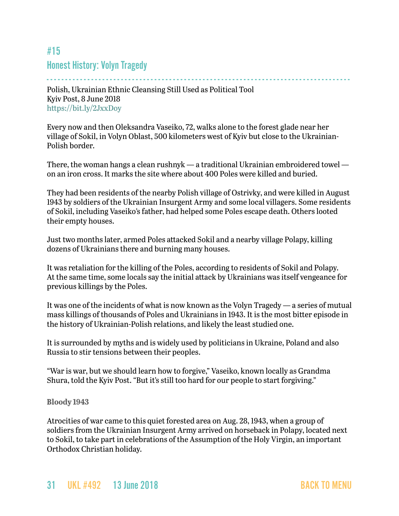## <span id="page-30-0"></span>#15 Honest History: Volyn Tragedy

- - - - - - - - - - - - - - - - - - - - - - - - - - - - - - - - - - - - - - - - - - - - - - - - - - - - - - - - - - - - - - - - - - - - - - - - - - - - - - - - - - Polish, Ukrainian Ethnic Cleansing Still Used as Political Tool Kyiv Post, 8 June 2018 <https://bit.ly/2JxxDoy>

Every now and then Oleksandra Vaseiko, 72, walks alone to the forest glade near her village of Sokil, in Volyn Oblast, 500 kilometers west of Kyiv but close to the Ukrainian-Polish border.

There, the woman hangs a clean rushnyk — a traditional Ukrainian embroidered towel on an iron cross. It marks the site where about 400 Poles were killed and buried.

They had been residents of the nearby Polish village of Ostrivky, and were killed in August 1943 by soldiers of the Ukrainian Insurgent Army and some local villagers. Some residents of Sokil, including Vaseiko's father, had helped some Poles escape death. Others looted their empty houses.

Just two months later, armed Poles attacked Sokil and a nearby village Polapy, killing dozens of Ukrainians there and burning many houses.

It was retaliation for the killing of the Poles, according to residents of Sokil and Polapy. At the same time, some locals say the initial attack by Ukrainians was itself vengeance for previous killings by the Poles.

It was one of the incidents of what is now known as the Volyn Tragedy — a series of mutual mass killings of thousands of Poles and Ukrainians in 1943. It is the most bitter episode in the history of Ukrainian-Polish relations, and likely the least studied one.

It is surrounded by myths and is widely used by politicians in Ukraine, Poland and also Russia to stir tensions between their peoples.

"War is war, but we should learn how to forgive," Vaseiko, known locally as Grandma Shura, told the Kyiv Post. "But it's still too hard for our people to start forgiving."

#### **Bloody 1943**

Atrocities of war came to this quiet forested area on Aug. 28, 1943, when a group of soldiers from the Ukrainian Insurgent Army arrived on horseback in Polapy, located next to Sokil, to take part in celebrations of the Assumption of the Holy Virgin, an important Orthodox Christian holiday.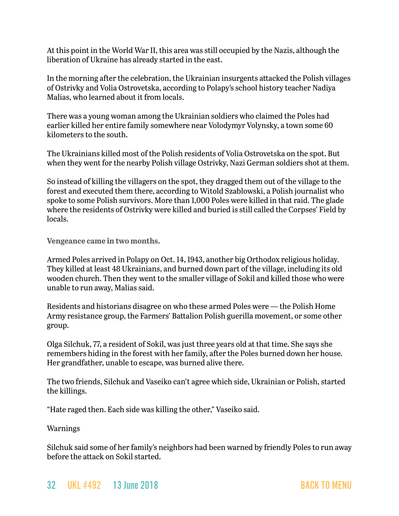At this point in the World War II, this area was still occupied by the Nazis, although the liberation of Ukraine has already started in the east.

In the morning after the celebration, the Ukrainian insurgents attacked the Polish villages of Ostrivky and Volia Ostrovetska, according to Polapy's school history teacher Nadiya Malias, who learned about it from locals.

There was a young woman among the Ukrainian soldiers who claimed the Poles had earlier killed her entire family somewhere near Volodymyr Volynsky, a town some 60 kilometers to the south.

The Ukrainians killed most of the Polish residents of Volia Ostrovetska on the spot. But when they went for the nearby Polish village Ostrivky, Nazi German soldiers shot at them.

So instead of killing the villagers on the spot, they dragged them out of the village to the forest and executed them there, according to Witold Szablowski, a Polish journalist who spoke to some Polish survivors. More than 1,000 Poles were killed in that raid. The glade where the residents of Ostrivky were killed and buried is still called the Corpses' Field by locals.

**Vengeance came in two months.**

Armed Poles arrived in Polapy on Oct. 14, 1943, another big Orthodox religious holiday. They killed at least 48 Ukrainians, and burned down part of the village, including its old wooden church. Then they went to the smaller village of Sokil and killed those who were unable to run away, Malias said.

Residents and historians disagree on who these armed Poles were — the Polish Home Army resistance group, the Farmers' Battalion Polish guerilla movement, or some other group.

Olga Silchuk, 77, a resident of Sokil, was just three years old at that time. She says she remembers hiding in the forest with her family, after the Poles burned down her house. Her grandfather, unable to escape, was burned alive there.

The two friends, Silchuk and Vaseiko can't agree which side, Ukrainian or Polish, started the killings.

"Hate raged then. Each side was killing the other," Vaseiko said.

Warnings

Silchuk said some of her family's neighbors had been warned by friendly Poles to run away before the attack on Sokil started.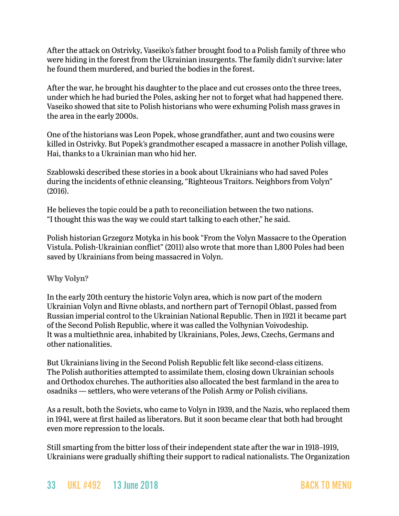After the attack on Ostrivky, Vaseiko's father brought food to a Polish family of three who were hiding in the forest from the Ukrainian insurgents. The family didn't survive: later he found them murdered, and buried the bodies in the forest.

After the war, he brought his daughter to the place and cut crosses onto the three trees, under which he had buried the Poles, asking her not to forget what had happened there. Vaseiko showed that site to Polish historians who were exhuming Polish mass graves in the area in the early 2000s.

One of the historians was Leon Popek, whose grandfather, aunt and two cousins were killed in Ostrivky. But Popek's grandmother escaped a massacre in another Polish village, Hai, thanks to a Ukrainian man who hid her.

Szablowski described these stories in a book about Ukrainians who had saved Poles during the incidents of ethnic cleansing, "Righteous Traitors. Neighbors from Volyn" (2016).

He believes the topic could be a path to reconciliation between the two nations. "I thought this was the way we could start talking to each other," he said.

Polish historian Grzegorz Motyka in his book "From the Volyn Massacre to the Operation Vistula. Polish-Ukrainian conflict" (2011) also wrote that more than 1,800 Poles had been saved by Ukrainians from being massacred in Volyn.

**Why Volyn?**

In the early 20th century the historic Volyn area, which is now part of the modern Ukrainian Volyn and Rivne oblasts, and northern part of Ternopil Oblast, passed from Russian imperial control to the Ukrainian National Republic. Then in 1921 it became part of the Second Polish Republic, where it was called the Volhynian Voivodeship. It was a multiethnic area, inhabited by Ukrainians, Poles, Jews, Czechs, Germans and other nationalities.

But Ukrainians living in the Second Polish Republic felt like second-class citizens. The Polish authorities attempted to assimilate them, closing down Ukrainian schools and Orthodox churches. The authorities also allocated the best farmland in the area to osadniks — settlers, who were veterans of the Polish Army or Polish civilians.

As a result, both the Soviets, who came to Volyn in 1939, and the Nazis, who replaced them in 1941, were at first hailed as liberators. But it soon became clear that both had brought even more repression to the locals.

Still smarting from the bitter loss of their independent state after the war in 1918–1919, Ukrainians were gradually shifting their support to radical nationalists. The Organization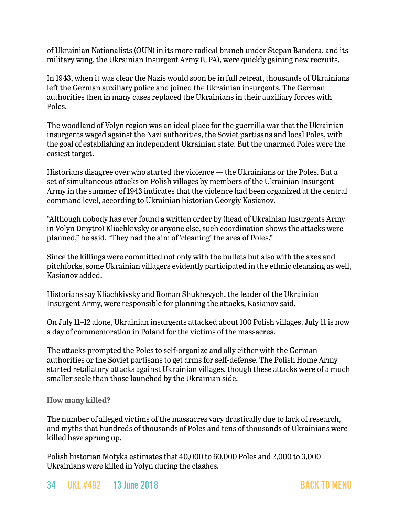of Ukrainian Nationalists (OUN) in its more radical branch under Stepan Bandera, and its military wing, the Ukrainian Insurgent Army (UPA), were quickly gaining new recruits.

In 1943, when it was clear the Nazis would soon be in full retreat, thousands of Ukrainians left the German auxiliary police and joined the Ukrainian insurgents. The German authorities then in many cases replaced the Ukrainians in their auxiliary forces with Poles.

The woodland of Volyn region was an ideal place for the guerrilla war that the Ukrainian insurgents waged against the Nazi authorities, the Soviet partisans and local Poles, with the goal of establishing an independent Ukrainian state. But the unarmed Poles were the easiest target.

Historians disagree over who started the violence — the Ukrainians or the Poles. But a set of simultaneous attacks on Polish villages by members of the Ukrainian Insurgent Army in the summer of 1943 indicates that the violence had been organized at the central command level, according to Ukrainian historian Georgiy Kasianov.

"Although nobody has ever found a written order by (head of Ukrainian Insurgents Army in Volyn Dmytro) Kliachkivsky or anyone else, such coordination shows the attacks were planned," he said. "They had the aim of 'cleaning' the area of Poles."

Since the killings were committed not only with the bullets but also with the axes and pitchforks, some Ukrainian villagers evidently participated in the ethnic cleansing as well, Kasianov added.

Historians say Kliachkivsky and Roman Shukhevych, the leader of the Ukrainian Insurgent Army, were responsible for planning the attacks, Kasianov said.

On July 11–12 alone, Ukrainian insurgents attacked about 100 Polish villages. July 11 is now a day of commemoration in Poland for the victims of the massacres.

The attacks prompted the Poles to self-organize and ally either with the German authorities or the Soviet partisans to get arms for self-defense. The Polish Home Army started retaliatory attacks against Ukrainian villages, though these attacks were of a much smaller scale than those launched by the Ukrainian side.

#### **How many killed?**

The number of alleged victims of the massacres vary drastically due to lack of research, and myths that hundreds of thousands of Poles and tens of thousands of Ukrainians were killed have sprung up.

Polish historian Motyka estimates that 40,000 to 60,000 Poles and 2,000 to 3,000 Ukrainians were killed in Volyn during the clashes.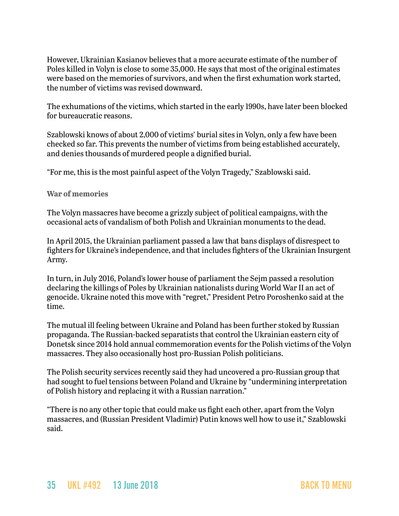However, Ukrainian Kasianov believes that a more accurate estimate of the number of Poles killed in Volyn is close to some 35,000. He says that most of the original estimates were based on the memories of survivors, and when the first exhumation work started, the number of victims was revised downward.

The exhumations of the victims, which started in the early 1990s, have later been blocked for bureaucratic reasons.

Szablowski knows of about 2,000 of victims' burial sites in Volyn, only a few have been checked so far. This prevents the number of victims from being established accurately, and denies thousands of murdered people a dignified burial.

"For me, this is the most painful aspect of the Volyn Tragedy," Szablowski said.

#### **War of memories**

The Volyn massacres have become a grizzly subject of political campaigns, with the occasional acts of vandalism of both Polish and Ukrainian monuments to the dead.

In April 2015, the Ukrainian parliament passed a law that bans displays of disrespect to fighters for Ukraine's independence, and that includes fighters of the Ukrainian Insurgent Army.

In turn, in July 2016, Poland's lower house of parliament the Sejm passed a resolution declaring the killings of Poles by Ukrainian nationalists during World War II an act of genocide. Ukraine noted this move with "regret," President Petro Poroshenko said at the time.

The mutual ill feeling between Ukraine and Poland has been further stoked by Russian propaganda. The Russian-backed separatists that control the Ukrainian eastern city of Donetsk since 2014 hold annual commemoration events for the Polish victims of the Volyn massacres. They also occasionally host pro-Russian Polish politicians.

The Polish security services recently said they had uncovered a pro-Russian group that had sought to fuel tensions between Poland and Ukraine by "undermining interpretation of Polish history and replacing it with a Russian narration."

"There is no any other topic that could make us fight each other, apart from the Volyn massacres, and (Russian President Vladimir) Putin knows well how to use it," Szablowski said.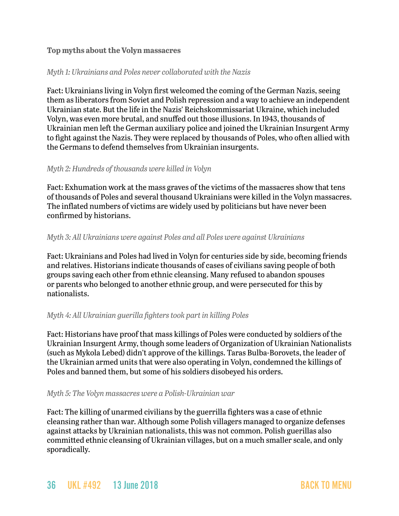#### **Top myths about the Volyn massacres**

#### *Myth 1: Ukrainians and Poles never collaborated with the Nazis*

Fact: Ukrainians living in Volyn first welcomed the coming of the German Nazis, seeing them as liberators from Soviet and Polish repression and a way to achieve an independent Ukrainian state. But the life in the Nazis' Reichskommissariat Ukraine, which included Volyn, was even more brutal, and snuffed out those illusions. In 1943, thousands of Ukrainian men left the German auxiliary police and joined the Ukrainian Insurgent Army to fight against the Nazis. They were replaced by thousands of Poles, who often allied with the Germans to defend themselves from Ukrainian insurgents.

#### *Myth 2: Hundreds of thousands were killed in Volyn*

Fact: Exhumation work at the mass graves of the victims of the massacres show that tens of thousands of Poles and several thousand Ukrainians were killed in the Volyn massacres. The inflated numbers of victims are widely used by politicians but have never been confirmed by historians.

#### *Myth 3: All Ukrainians were against Poles and all Poles were against Ukrainians*

Fact: Ukrainians and Poles had lived in Volyn for centuries side by side, becoming friends and relatives. Historians indicate thousands of cases of civilians saving people of both groups saving each other from ethnic cleansing. Many refused to abandon spouses or parents who belonged to another ethnic group, and were persecuted for this by nationalists.

#### *Myth 4: All Ukrainian guerilla fighters took part in killing Poles*

Fact: Historians have proof that mass killings of Poles were conducted by soldiers of the Ukrainian Insurgent Army, though some leaders of Organization of Ukrainian Nationalists (such as Mykola Lebed) didn't approve of the killings. Taras Bulba-Borovets, the leader of the Ukrainian armed units that were also operating in Volyn, condemned the killings of Poles and banned them, but some of his soldiers disobeyed his orders.

#### *Myth 5: The Volyn massacres were a Polish-Ukrainian war*

Fact: The killing of unarmed civilians by the guerrilla fighters was a case of ethnic cleansing rather than war. Although some Polish villagers managed to organize defenses against attacks by Ukrainian nationalists, this was not common. Polish guerillas also committed ethnic cleansing of Ukrainian villages, but on a much smaller scale, and only sporadically.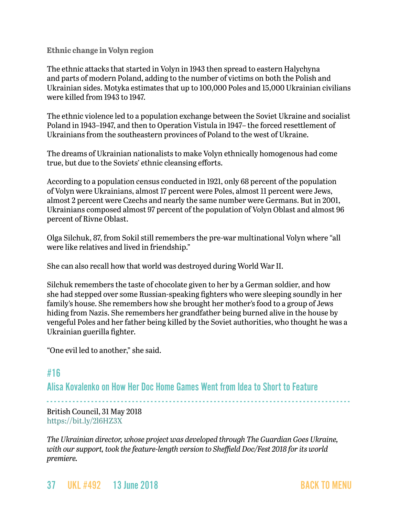#### **Ethnic change in Volyn region**

The ethnic attacks that started in Volyn in 1943 then spread to eastern Halychyna and parts of modern Poland, adding to the number of victims on both the Polish and Ukrainian sides. Motyka estimates that up to 100,000 Poles and 15,000 Ukrainian civilians were killed from 1943 to 1947.

The ethnic violence led to a population exchange between the Soviet Ukraine and socialist Poland in 1943–1947, and then to Operation Vistula in 1947– the forced resettlement of Ukrainians from the southeastern provinces of Poland to the west of Ukraine.

The dreams of Ukrainian nationalists to make Volyn ethnically homogenous had come true, but due to the Soviets' ethnic cleansing efforts.

According to a population census conducted in 1921, only 68 percent of the population of Volyn were Ukrainians, almost 17 percent were Poles, almost 11 percent were Jews, almost 2 percent were Czechs and nearly the same number were Germans. But in 2001, Ukrainians composed almost 97 percent of the population of Volyn Oblast and almost 96 percent of Rivne Oblast.

Olga Silchuk, 87, from Sokil still remembers the pre-war multinational Volyn where "all were like relatives and lived in friendship."

She can also recall how that world was destroyed during World War II.

Silchuk remembers the taste of chocolate given to her by a German soldier, and how she had stepped over some Russian-speaking fighters who were sleeping soundly in her family's house. She remembers how she brought her mother's food to a group of Jews hiding from Nazis. She remembers her grandfather being burned alive in the house by vengeful Poles and her father being killed by the Soviet authorities, who thought he was a Ukrainian guerilla fighter.

"One evil led to another," she said.

## <span id="page-36-0"></span>#16

Alisa Kovalenko on How Her Doc Home Games Went from Idea to Short to Feature

- - - - - - - - - - - - - - - - - - - - - - - - - - - - - - - - - - - - - - - - - - - - - - - - - - - - - - - - - - - - - - - - - - - - - - - - - - - - - - - - - - British Council, 31 May 2018 <https://bit.ly/2l6HZ3X>

*The Ukrainian director, whose project was developed through The Guardian Goes Ukraine, with our support, took the feature-length version to Sheffield Doc/Fest 2018 for its world premiere.*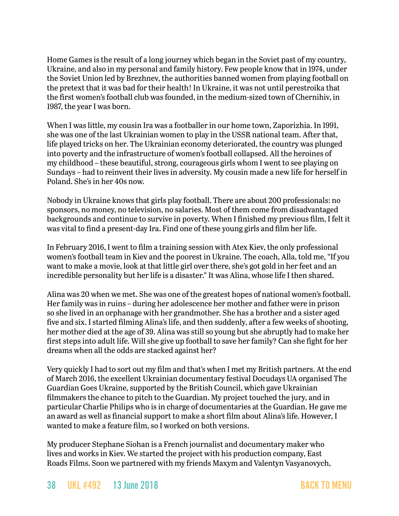Home Games is the result of a long journey which began in the Soviet past of my country, Ukraine, and also in my personal and family history. Few people know that in 1974, under the Soviet Union led by Brezhnev, the authorities banned women from playing football on the pretext that it was bad for their health! In Ukraine, it was not until perestroika that the first women's football club was founded, in the medium-sized town of Chernihiv, in 1987, the year I was born.

When I was little, my cousin Ira was a footballer in our home town, Zaporizhia. In 1991, she was one of the last Ukrainian women to play in the USSR national team. After that, life played tricks on her. The Ukrainian economy deteriorated, the country was plunged into poverty and the infrastructure of women's football collapsed. All the heroines of my childhood – these beautiful, strong, courageous girls whom I went to see playing on Sundays – had to reinvent their lives in adversity. My cousin made a new life for herself in Poland. She's in her 40s now.

Nobody in Ukraine knows that girls play football. There are about 200 professionals: no sponsors, no money, no television, no salaries. Most of them come from disadvantaged backgrounds and continue to survive in poverty. When I finished my previous film, I felt it was vital to find a present-day Ira. Find one of these young girls and film her life.

In February 2016, I went to film a training session with Atex Kiev, the only professional women's football team in Kiev and the poorest in Ukraine. The coach, Alla, told me, "If you want to make a movie, look at that little girl over there, she's got gold in her feet and an incredible personality but her life is a disaster." It was Alina, whose life I then shared.

Alina was 20 when we met. She was one of the greatest hopes of national women's football. Her family was in ruins – during her adolescence her mother and father were in prison so she lived in an orphanage with her grandmother. She has a brother and a sister aged five and six. I started filming Alina's life, and then suddenly, after a few weeks of shooting, her mother died at the age of 39. Alina was still so young but she abruptly had to make her first steps into adult life. Will she give up football to save her family? Can she fight for her dreams when all the odds are stacked against her?

Very quickly I had to sort out my film and that's when I met my British partners. At the end of March 2016, the excellent Ukrainian documentary festival Docudays UA organised The Guardian Goes Ukraine, supported by the British Council, which gave Ukrainian filmmakers the chance to pitch to the Guardian. My project touched the jury, and in particular Charlie Philips who is in charge of documentaries at the Guardian. He gave me an award as well as financial support to make a short film about Alina's life. However, I wanted to make a feature film, so I worked on both versions.

My producer Stephane Siohan is a French journalist and documentary maker who lives and works in Kiev. We started the project with his production company, East Roads Films. Soon we partnered with my friends Maxym and Valentyn Vasyanovych,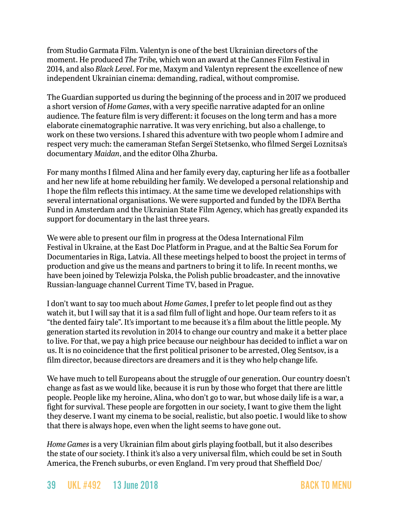from Studio Garmata Film. Valentyn is one of the best Ukrainian directors of the moment. He produced *The Tribe,* which won an award at the Cannes Film Festival in 2014, and also *Black Level*. For me, Maxym and Valentyn represent the excellence of new independent Ukrainian cinema: demanding, radical, without compromise.

The Guardian supported us during the beginning of the process and in 2017 we produced a short version of *Home Games*, with a very specific narrative adapted for an online audience. The feature film is very different: it focuses on the long term and has a more elaborate cinematographic narrative. It was very enriching, but also a challenge, to work on these two versions. I shared this adventure with two people whom I admire and respect very much: the cameraman Stefan Sergeï Stetsenko, who filmed Sergeï Loznitsa's documentary *Maidan*, and the editor Olha Zhurba.

For many months I filmed Alina and her family every day, capturing her life as a footballer and her new life at home rebuilding her family. We developed a personal relationship and I hope the film reflects this intimacy. At the same time we developed relationships with several international organisations. We were supported and funded by the IDFA Bertha Fund in Amsterdam and the Ukrainian State Film Agency, which has greatly expanded its support for documentary in the last three years.

We were able to present our film in progress at the Odesa International Film Festival in Ukraine, at the East Doc Platform in Prague, and at the Baltic Sea Forum for Documentaries in Riga, Latvia. All these meetings helped to boost the project in terms of production and give us the means and partners to bring it to life. In recent months, we have been joined by Telewizja Polska, the Polish public broadcaster, and the innovative Russian-language channel Current Time TV, based in Prague.

I don't want to say too much about *Home Games*, I prefer to let people find out as they watch it, but I will say that it is a sad film full of light and hope. Our team refers to it as "the dented fairy tale". It's important to me because it's a film about the little people. My generation started its revolution in 2014 to change our country and make it a better place to live. For that, we pay a high price because our neighbour has decided to inflict a war on us. It is no coincidence that the first political prisoner to be arrested, Oleg Sentsov, is a film director, because directors are dreamers and it is they who help change life.

We have much to tell Europeans about the struggle of our generation. Our country doesn't change as fast as we would like, because it is run by those who forget that there are little people. People like my heroine, Alina, who don't go to war, but whose daily life is a war, a fight for survival. These people are forgotten in our society, I want to give them the light they deserve. I want my cinema to be social, realistic, but also poetic. I would like to show that there is always hope, even when the light seems to have gone out.

*Home Games* is a very Ukrainian film about girls playing football, but it also describes the state of our society. I think it's also a very universal film, which could be set in South America, the French suburbs, or even England. I'm very proud that Sheffield Doc/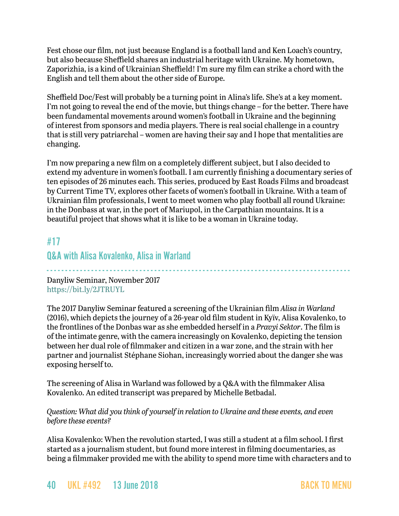Fest chose our film, not just because England is a football land and Ken Loach's country, but also because Sheffield shares an industrial heritage with Ukraine. My hometown, Zaporizhia, is a kind of Ukrainian Sheffield! I'm sure my film can strike a chord with the English and tell them about the other side of Europe.

Sheffield Doc/Fest will probably be a turning point in Alina's life. She's at a key moment. I'm not going to reveal the end of the movie, but things change – for the better. There have been fundamental movements around women's football in Ukraine and the beginning of interest from sponsors and media players. There is real social challenge in a country that is still very patriarchal – women are having their say and I hope that mentalities are changing.

I'm now preparing a new film on a completely different subject, but I also decided to extend my adventure in women's football. I am currently finishing a documentary series of ten episodes of 26 minutes each. This series, produced by East Roads Films and broadcast by Current Time TV*,* explores other facets of women's football in Ukraine. With a team of Ukrainian film professionals, I went to meet women who play football all round Ukraine: in the Donbass at war, in the port of Mariupol, in the Carpathian mountains. It is a beautiful project that shows what it is like to be a woman in Ukraine today.

- - - - - - - - - - - - - - - - - - - - - - - - - - - - - - - - - - - - - - - - - - - - - - - - - - - - - - - - - - - - - - - - - - - - - - - - - - - - - - - - - -

# <span id="page-39-0"></span>#17

## Q&A with Alisa Kovalenko, Alisa in Warland

Danyliw Seminar, November 2017 <https://bit.ly/2JTRUYL>

The 2017 Danyliw Seminar featured a screening of the Ukrainian film *Alisa in Warland* (2016), which depicts the journey of a 26-year old film student in Kyïv, Alisa Kovalenko, to the frontlines of the Donbas war as she embedded herself in a *Pravyi Sektor*. The film is of the intimate genre, with the camera increasingly on Kovalenko, depicting the tension between her dual role of filmmaker and citizen in a war zone, and the strain with her partner and journalist Stéphane Siohan, increasingly worried about the danger she was exposing herself to.

The screening of Alisa in Warland was followed by a Q&A with the filmmaker Alisa Kovalenko. An edited transcript was prepared by Michelle Betbadal.

#### *Question: What did you think of yourself in relation to Ukraine and these events, and even before these events?*

Alisa Kovalenko: When the revolution started, I was still a student at a film school. I first started as a journalism student, but found more interest in filming documentaries, as being a filmmaker provided me with the ability to spend more time with characters and to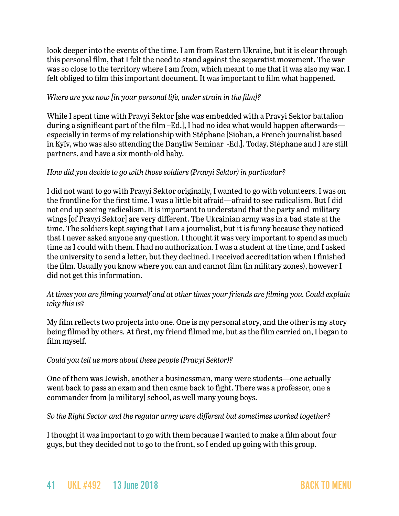look deeper into the events of the time. I am from Eastern Ukraine, but it is clear through this personal film, that I felt the need to stand against the separatist movement. The war was so close to the territory where I am from, which meant to me that it was also my war. I felt obliged to film this important document. It was important to film what happened.

#### *Where are you now [in your personal life, under strain in the film]?*

While I spent time with Pravyi Sektor [she was embedded with a Pravyi Sektor battalion during a significant part of the film –Ed.], I had no idea what would happen afterwards especially in terms of my relationship with Stéphane [Siohan, a French journalist based in Kyïv, who was also attending the Danyliw Seminar -Ed.]. Today, Stéphane and I are still partners, and have a six month-old baby.

#### *How did you decide to go with those soldiers (Pravyi Sektor) in particular?*

I did not want to go with Pravyi Sektor originally, I wanted to go with volunteers. I was on the frontline for the first time. I was a little bit afraid—afraid to see radicalism. But I did not end up seeing radicalism. It is important to understand that the party and military wings [of Pravyi Sektor] are very different. The Ukrainian army was in a bad state at the time. The soldiers kept saying that I am a journalist, but it is funny because they noticed that I never asked anyone any question. I thought it was very important to spend as much time as I could with them. I had no authorization. I was a student at the time, and I asked the university to send a letter, but they declined. I received accreditation when I finished the film. Usually you know where you can and cannot film (in military zones), however I did not get this information.

#### *At times you are filming yourself and at other times your friends are filming you. Could explain why this is?*

My film reflects two projects into one. One is my personal story, and the other is my story being filmed by others. At first, my friend filmed me, but as the film carried on, I began to film myself.

#### *Could you tell us more about these people (Pravyi Sektor)?*

One of them was Jewish, another a businessman, many were students—one actually went back to pass an exam and then came back to fight. There was a professor, one a commander from [a military] school, as well many young boys.

*So the Right Sector and the regular army were different but sometimes worked together?*

I thought it was important to go with them because I wanted to make a film about four guys, but they decided not to go to the front, so I ended up going with this group.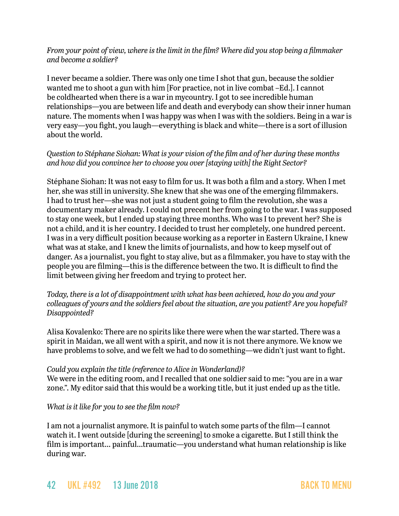#### *From your point of view, where is the limit in the film? Where did you stop being a filmmaker and become a soldier?*

I never became a soldier. There was only one time I shot that gun, because the soldier wanted me to shoot a gun with him [For practice, not in live combat –Ed.]. I cannot be coldhearted when there is a war in mycountry. I got to see incredible human relationships—you are between life and death and everybody can show their inner human nature. The moments when I was happy was when I was with the soldiers. Being in a war is very easy—you fight, you laugh—everything is black and white—there is a sort of illusion about the world.

#### *Question to Stéphane Siohan: What is your vision of the film and of her during these months and how did you convince her to choose you over [staying with] the Right Sector?*

Stéphane Siohan: It was not easy to film for us. It was both a film and a story. When I met her, she was still in university. She knew that she was one of the emerging filmmakers. I had to trust her—she was not just a student going to film the revolution, she was a documentary maker already. I could not precent her from going to the war. I was supposed to stay one week, but I ended up staying three months. Who was I to prevent her? She is not a child, and it is her country. I decided to trust her completely, one hundred percent. I was in a very difficult position because working as a reporter in Eastern Ukraine, I knew what was at stake, and I knew the limits of journalists, and how to keep myself out of danger. As a journalist, you fight to stay alive, but as a filmmaker, you have to stay with the people you are filming—this is the difference between the two. It is difficult to find the limit between giving her freedom and trying to protect her.

*Today, there is a lot of disappointment with what has been achieved, how do you and your colleagues of yours and the soldiers feel about the situation, are you patient? Are you hopeful? Disappointed?*

Alisa Kovalenko: There are no spirits like there were when the war started. There was a spirit in Maidan, we all went with a spirit, and now it is not there anymore. We know we have problems to solve, and we felt we had to do something—we didn't just want to fight.

#### *Could you explain the title (reference to Alice in Wonderland)?*

We were in the editing room, and I recalled that one soldier said to me: "you are in a war zone.". My editor said that this would be a working title, but it just ended up as the title.

#### *What is it like for you to see the film now?*

I am not a journalist anymore. It is painful to watch some parts of the film—I cannot watch it. I went outside [during the screening] to smoke a cigarette. But I still think the film is important… painful…traumatic—you understand what human relationship is like during war.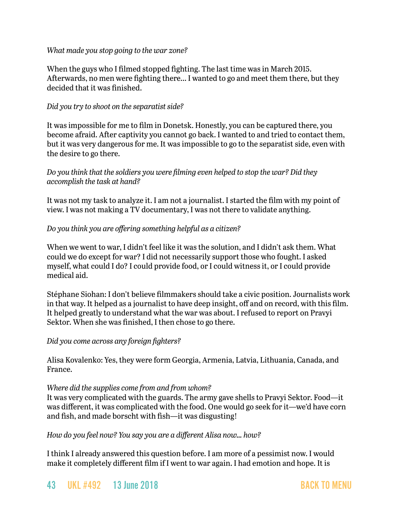#### *What made you stop going to the war zone?*

When the guys who I filmed stopped fighting. The last time was in March 2015. Afterwards, no men were fighting there… I wanted to go and meet them there, but they decided that it was finished.

#### *Did you try to shoot on the separatist side?*

It was impossible for me to film in Donetsk. Honestly, you can be captured there, you become afraid. After captivity you cannot go back. I wanted to and tried to contact them, but it was very dangerous for me. It was impossible to go to the separatist side, even with the desire to go there.

#### *Do you think that the soldiers you were filming even helped to stop the war? Did they accomplish the task at hand?*

It was not my task to analyze it. I am not a journalist. I started the film with my point of view. I was not making a TV documentary, I was not there to validate anything.

#### *Do you think you are offering something helpful as a citizen?*

When we went to war, I didn't feel like it was the solution, and I didn't ask them. What could we do except for war? I did not necessarily support those who fought. I asked myself, what could I do? I could provide food, or I could witness it, or I could provide medical aid.

Stéphane Siohan: I don't believe filmmakers should take a civic position. Journalists work in that way. It helped as a journalist to have deep insight, off and on record, with this film. It helped greatly to understand what the war was about. I refused to report on Pravyi Sektor. When she was finished, I then chose to go there.

#### *Did you come across any foreign fighters?*

Alisa Kovalenko: Yes, they were form Georgia, Armenia, Latvia, Lithuania, Canada, and France.

#### *Where did the supplies come from and from whom?*

It was very complicated with the guards. The army gave shells to Pravyi Sektor. Food—it was different, it was complicated with the food. One would go seek for it—we'd have corn and fish, and made borscht with fish—it was disgusting!

#### *How do you feel now? You say you are a different Alisa now… how?*

I think I already answered this question before. I am more of a pessimist now. I would make it completely different film if I went to war again. I had emotion and hope. It is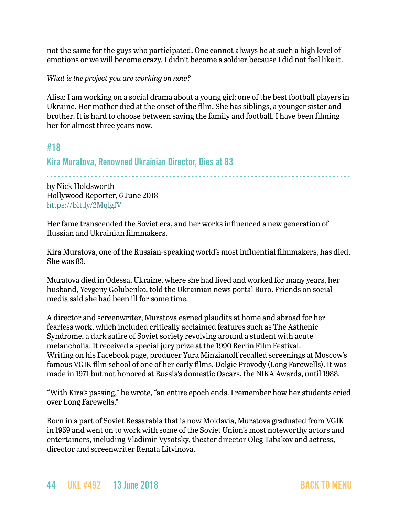not the same for the guys who participated. One cannot always be at such a high level of emotions or we will become crazy. I didn't become a soldier because I did not feel like it.

#### *What is the project you are working on now?*

Alisa: I am working on a social drama about a young girl; one of the best football players in Ukraine. Her mother died at the onset of the film. She has siblings, a younger sister and brother. It is hard to choose between saving the family and football. I have been filming her for almost three years now.

## <span id="page-43-0"></span>#18

## Kira Muratova, Renowned Ukrainian Director, Dies at 83

- - - - - - - - - - - - - - - - - - - - - - - - - - - - - - - - - - - - - - - - - - - - - - - - - - - - - - - - - - - - - - - - - - - - - - - - - - - - - - - - - -

by Nick Holdsworth Hollywood Reporter, 6 June 2018 <https://bit.ly/2MqlgfV>

Her fame transcended the Soviet era, and her works influenced a new generation of Russian and Ukrainian filmmakers.

Kira Muratova, one of the Russian-speaking world's most influential filmmakers, has died. She was 83.

Muratova died in Odessa, Ukraine, where she had lived and worked for many years, her husband, Yevgeny Golubenko, told the Ukrainian news portal Buro. Friends on social media said she had been ill for some time.

A director and screenwriter, Muratova earned plaudits at home and abroad for her fearless work, which included critically acclaimed features such as The Asthenic Syndrome, a dark satire of Soviet society revolving around a student with acute melancholia. It received a special jury prize at the 1990 Berlin Film Festival. Writing on his Facebook page, producer Yura Minzianoff recalled screenings at Moscow's famous VGIK film school of one of her early films, Dolgie Provody (Long Farewells). It was made in 1971 but not honored at Russia's domestic Oscars, the NIKA Awards, until 1988.

"With Kira's passing," he wrote, "an entire epoch ends. I remember how her students cried over Long Farewells."

Born in a part of Soviet Bessarabia that is now Moldavia, Muratova graduated from VGIK in 1959 and went on to work with some of the Soviet Union's most noteworthy actors and entertainers, including Vladimir Vysotsky, theater director Oleg Tabakov and actress, director and screenwriter Renata Litvinova.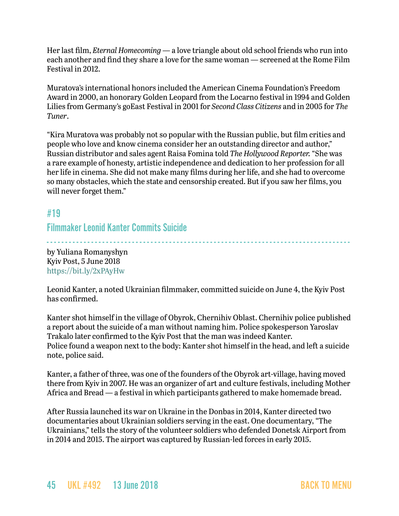Her last film, *Eternal Homecoming* — a love triangle about old school friends who run into each another and find they share a love for the same woman — screened at the Rome Film Festival in 2012.

Muratova's international honors included the American Cinema Foundation's Freedom Award in 2000, an honorary Golden Leopard from the Locarno festival in 1994 and Golden Lilies from Germany's goEast Festival in 2001 for *Second Class Citizens* and in 2005 for *The Tuner*.

"Kira Muratova was probably not so popular with the Russian public, but film critics and people who love and know cinema consider her an outstanding director and author," Russian distributor and sales agent Raisa Fomina told *The Hollywood Reporter.* "She was a rare example of honesty, artistic independence and dedication to her profession for all her life in cinema. She did not make many films during her life, and she had to overcome so many obstacles, which the state and censorship created. But if you saw her films, you will never forget them."

## <span id="page-44-0"></span>#19

Filmmaker Leonid Kanter Commits Suicide

- - - - - - - - - - - - - - - - - - - - - - - - - - - - - - - - - - - - - - - - - - - - - - - - - - - - - - - - - - - - - - - - - - - - - - - - - - - - - - - - - by Yuliana Romanyshyn Kyiv Post, 5 June 2018 <https://bit.ly/2xPAyHw>

Leonid Kanter, a noted Ukrainian filmmaker, committed suicide on June 4, the Kyiv Post has confirmed.

Kanter shot himself in the village of Obyrok, Chernihiv Oblast. Chernihiv police published a report about the suicide of a man without naming him. Police spokesperson Yaroslav Trakalo later confirmed to the Kyiv Post that the man was indeed Kanter. Police found a weapon next to the body: Kanter shot himself in the head, and left a suicide note, police said.

Kanter, a father of three, was one of the founders of the Obyrok art-village, having moved there from Kyiv in 2007. He was an organizer of art and culture festivals, including Mother Africa and Bread — a festival in which participants gathered to make homemade bread.

After Russia launched its war on Ukraine in the Donbas in 2014, Kanter directed two documentaries about Ukrainian soldiers serving in the east. One documentary, "The Ukrainians," tells the story of the volunteer soldiers who defended Donetsk Airport from in 2014 and 2015. The airport was captured by Russian-led forces in early 2015.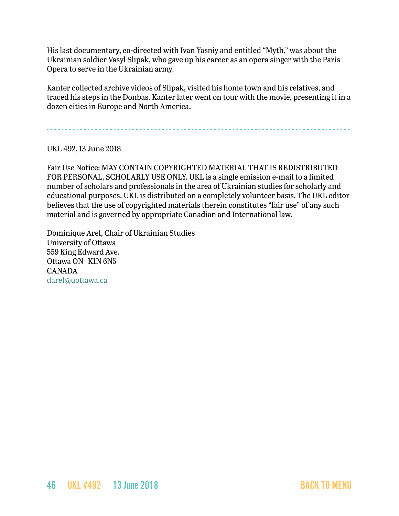His last documentary, co-directed with Ivan Yasniy and entitled "Myth," was about the Ukrainian soldier Vasyl Slipak, who gave up his career as an opera singer with the Paris Opera to serve in the Ukrainian army.

Kanter collected archive videos of Slipak, visited his home town and his relatives, and traced his steps in the Donbas. Kanter later went on tour with the movie, presenting it in a dozen cities in Europe and North America.

- - - - - - - - - - - - - - - - - - - - - - - - - - - - - - - - - - - - - - - - - - - - - - - - - - - - - - - - - - - - - - - - - - - - - - - - - - - - - - - - - -

UKL 492, 13 June 2018

Fair Use Notice: MAY CONTAIN COPYRIGHTED MATERIAL THAT IS REDISTRIBUTED FOR PERSONAL, SCHOLARLY USE ONLY. UKL is a single emission e-mail to a limited number of scholars and professionals in the area of Ukrainian studies for scholarly and educational purposes. UKL is distributed on a completely volunteer basis. The UKL editor believes that the use of copyrighted materials therein constitutes "fair use" of any such material and is governed by appropriate Canadian and International law.

Dominique Arel, Chair of Ukrainian Studies University of Ottawa 559 King Edward Ave. Ottawa ON K1N 6N5 CANADA [darel@uottawa.ca](mailto:darel@uottawa.ca)